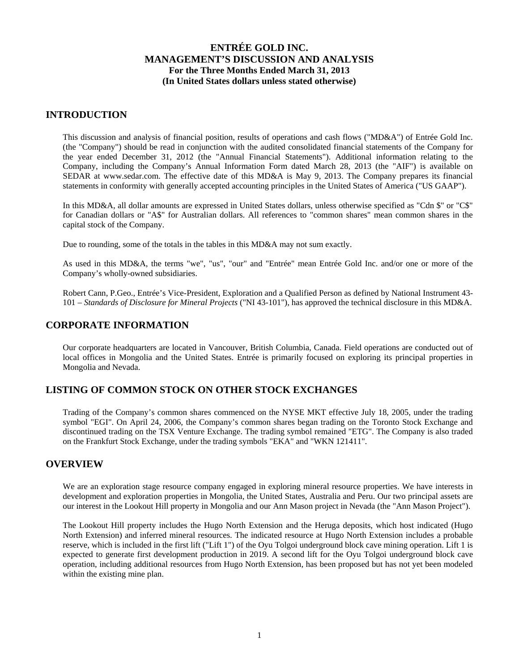### **INTRODUCTION**

This discussion and analysis of financial position, results of operations and cash flows ("MD&A") of Entrée Gold Inc. (the "Company") should be read in conjunction with the audited consolidated financial statements of the Company for the year ended December 31, 2012 (the "Annual Financial Statements"). Additional information relating to the Company, including the Company's Annual Information Form dated March 28, 2013 (the "AIF") is available on SEDAR at www.sedar.com. The effective date of this MD&A is May 9, 2013. The Company prepares its financial statements in conformity with generally accepted accounting principles in the United States of America ("US GAAP").

In this MD&A, all dollar amounts are expressed in United States dollars, unless otherwise specified as "Cdn \$" or "C\$" for Canadian dollars or "A\$" for Australian dollars. All references to "common shares" mean common shares in the capital stock of the Company.

Due to rounding, some of the totals in the tables in this MD&A may not sum exactly.

As used in this MD&A, the terms "we", "us", "our" and "Entrée" mean Entrée Gold Inc. and/or one or more of the Company's wholly-owned subsidiaries.

Robert Cann, P.Geo., Entrée's Vice-President, Exploration and a Qualified Person as defined by National Instrument 43- 101 – *Standards of Disclosure for Mineral Projects* ("NI 43-101"), has approved the technical disclosure in this MD&A.

### **CORPORATE INFORMATION**

Our corporate headquarters are located in Vancouver, British Columbia, Canada. Field operations are conducted out of local offices in Mongolia and the United States. Entrée is primarily focused on exploring its principal properties in Mongolia and Nevada.

# **LISTING OF COMMON STOCK ON OTHER STOCK EXCHANGES**

Trading of the Company's common shares commenced on the NYSE MKT effective July 18, 2005, under the trading symbol "EGI". On April 24, 2006, the Company's common shares began trading on the Toronto Stock Exchange and discontinued trading on the TSX Venture Exchange. The trading symbol remained "ETG". The Company is also traded on the Frankfurt Stock Exchange, under the trading symbols "EKA" and "WKN 121411".

### **OVERVIEW**

We are an exploration stage resource company engaged in exploring mineral resource properties. We have interests in development and exploration properties in Mongolia, the United States, Australia and Peru. Our two principal assets are our interest in the Lookout Hill property in Mongolia and our Ann Mason project in Nevada (the "Ann Mason Project").

The Lookout Hill property includes the Hugo North Extension and the Heruga deposits, which host indicated (Hugo North Extension) and inferred mineral resources. The indicated resource at Hugo North Extension includes a probable reserve, which is included in the first lift ("Lift 1") of the Oyu Tolgoi underground block cave mining operation. Lift 1 is expected to generate first development production in 2019. A second lift for the Oyu Tolgoi underground block cave operation, including additional resources from Hugo North Extension, has been proposed but has not yet been modeled within the existing mine plan.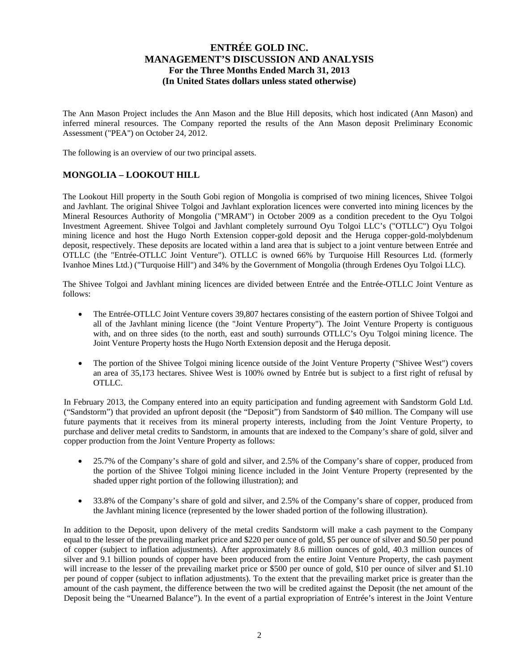The Ann Mason Project includes the Ann Mason and the Blue Hill deposits, which host indicated (Ann Mason) and inferred mineral resources. The Company reported the results of the Ann Mason deposit Preliminary Economic Assessment ("PEA") on October 24, 2012.

The following is an overview of our two principal assets.

# **MONGOLIA – LOOKOUT HILL**

The Lookout Hill property in the South Gobi region of Mongolia is comprised of two mining licences, Shivee Tolgoi and Javhlant. The original Shivee Tolgoi and Javhlant exploration licences were converted into mining licences by the Mineral Resources Authority of Mongolia ("MRAM") in October 2009 as a condition precedent to the Oyu Tolgoi Investment Agreement. Shivee Tolgoi and Javhlant completely surround Oyu Tolgoi LLC's ("OTLLC") Oyu Tolgoi mining licence and host the Hugo North Extension copper-gold deposit and the Heruga copper-gold-molybdenum deposit, respectively. These deposits are located within a land area that is subject to a joint venture between Entrée and OTLLC (the "Entrée-OTLLC Joint Venture"). OTLLC is owned 66% by Turquoise Hill Resources Ltd. (formerly Ivanhoe Mines Ltd.) ("Turquoise Hill") and 34% by the Government of Mongolia (through Erdenes Oyu Tolgoi LLC).

The Shivee Tolgoi and Javhlant mining licences are divided between Entrée and the Entrée-OTLLC Joint Venture as follows:

- The Entrée-OTLLC Joint Venture covers 39,807 hectares consisting of the eastern portion of Shivee Tolgoi and all of the Javhlant mining licence (the "Joint Venture Property"). The Joint Venture Property is contiguous with, and on three sides (to the north, east and south) surrounds OTLLC's Oyu Tolgoi mining licence. The Joint Venture Property hosts the Hugo North Extension deposit and the Heruga deposit.
- The portion of the Shivee Tolgoi mining licence outside of the Joint Venture Property ("Shivee West") covers an area of 35,173 hectares. Shivee West is 100% owned by Entrée but is subject to a first right of refusal by OTLLC.

In February 2013, the Company entered into an equity participation and funding agreement with Sandstorm Gold Ltd. ("Sandstorm") that provided an upfront deposit (the "Deposit") from Sandstorm of \$40 million. The Company will use future payments that it receives from its mineral property interests, including from the Joint Venture Property, to purchase and deliver metal credits to Sandstorm, in amounts that are indexed to the Company's share of gold, silver and copper production from the Joint Venture Property as follows:

- 25.7% of the Company's share of gold and silver, and 2.5% of the Company's share of copper, produced from the portion of the Shivee Tolgoi mining licence included in the Joint Venture Property (represented by the shaded upper right portion of the following illustration); and
- 33.8% of the Company's share of gold and silver, and 2.5% of the Company's share of copper, produced from the Javhlant mining licence (represented by the lower shaded portion of the following illustration).

In addition to the Deposit, upon delivery of the metal credits Sandstorm will make a cash payment to the Company equal to the lesser of the prevailing market price and \$220 per ounce of gold, \$5 per ounce of silver and \$0.50 per pound of copper (subject to inflation adjustments). After approximately 8.6 million ounces of gold, 40.3 million ounces of silver and 9.1 billion pounds of copper have been produced from the entire Joint Venture Property, the cash payment will increase to the lesser of the prevailing market price or \$500 per ounce of gold, \$10 per ounce of silver and \$1.10 per pound of copper (subject to inflation adjustments). To the extent that the prevailing market price is greater than the amount of the cash payment, the difference between the two will be credited against the Deposit (the net amount of the Deposit being the "Unearned Balance"). In the event of a partial expropriation of Entrée's interest in the Joint Venture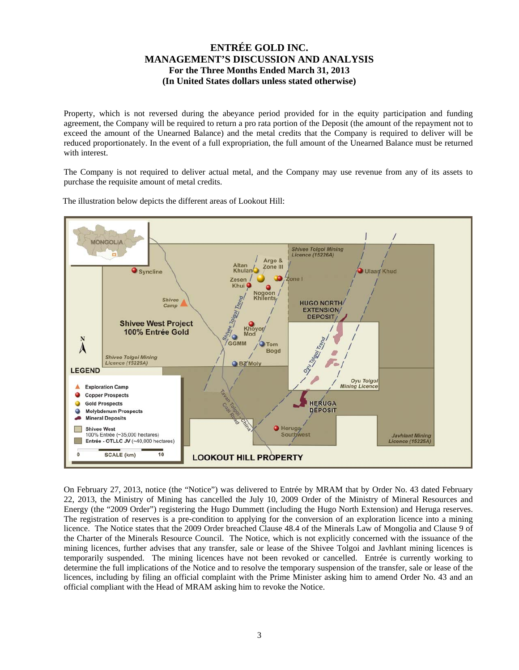Property, which is not reversed during the abeyance period provided for in the equity participation and funding agreement, the Company will be required to return a pro rata portion of the Deposit (the amount of the repayment not to exceed the amount of the Unearned Balance) and the metal credits that the Company is required to deliver will be reduced proportionately. In the event of a full expropriation, the full amount of the Unearned Balance must be returned with interest.

The Company is not required to deliver actual metal, and the Company may use revenue from any of its assets to purchase the requisite amount of metal credits.



The illustration below depicts the different areas of Lookout Hill:

On February 27, 2013, notice (the "Notice") was delivered to Entrée by MRAM that by Order No. 43 dated February 22, 2013, the Ministry of Mining has cancelled the July 10, 2009 Order of the Ministry of Mineral Resources and Energy (the "2009 Order") registering the Hugo Dummett (including the Hugo North Extension) and Heruga reserves. The registration of reserves is a pre-condition to applying for the conversion of an exploration licence into a mining licence. The Notice states that the 2009 Order breached Clause 48.4 of the Minerals Law of Mongolia and Clause 9 of the Charter of the Minerals Resource Council. The Notice, which is not explicitly concerned with the issuance of the mining licences, further advises that any transfer, sale or lease of the Shivee Tolgoi and Javhlant mining licences is temporarily suspended. The mining licences have not been revoked or cancelled. Entrée is currently working to determine the full implications of the Notice and to resolve the temporary suspension of the transfer, sale or lease of the licences, including by filing an official complaint with the Prime Minister asking him to amend Order No. 43 and an official compliant with the Head of MRAM asking him to revoke the Notice.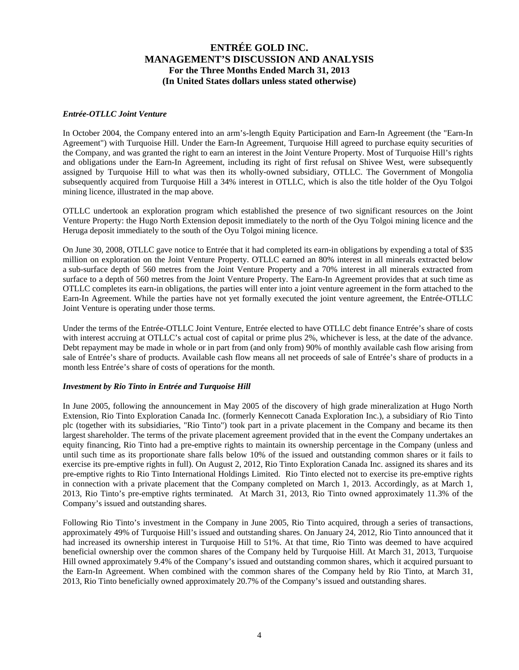### *Entrée-OTLLC Joint Venture*

In October 2004, the Company entered into an arm's-length Equity Participation and Earn-In Agreement (the "Earn-In Agreement") with Turquoise Hill. Under the Earn-In Agreement, Turquoise Hill agreed to purchase equity securities of the Company, and was granted the right to earn an interest in the Joint Venture Property. Most of Turquoise Hill's rights and obligations under the Earn-In Agreement, including its right of first refusal on Shivee West, were subsequently assigned by Turquoise Hill to what was then its wholly-owned subsidiary, OTLLC. The Government of Mongolia subsequently acquired from Turquoise Hill a 34% interest in OTLLC, which is also the title holder of the Oyu Tolgoi mining licence, illustrated in the map above.

OTLLC undertook an exploration program which established the presence of two significant resources on the Joint Venture Property: the Hugo North Extension deposit immediately to the north of the Oyu Tolgoi mining licence and the Heruga deposit immediately to the south of the Oyu Tolgoi mining licence.

On June 30, 2008, OTLLC gave notice to Entrée that it had completed its earn-in obligations by expending a total of \$35 million on exploration on the Joint Venture Property. OTLLC earned an 80% interest in all minerals extracted below a sub-surface depth of 560 metres from the Joint Venture Property and a 70% interest in all minerals extracted from surface to a depth of 560 metres from the Joint Venture Property. The Earn-In Agreement provides that at such time as OTLLC completes its earn-in obligations, the parties will enter into a joint venture agreement in the form attached to the Earn-In Agreement. While the parties have not yet formally executed the joint venture agreement, the Entrée-OTLLC Joint Venture is operating under those terms.

Under the terms of the Entrée-OTLLC Joint Venture, Entrée elected to have OTLLC debt finance Entrée's share of costs with interest accruing at OTLLC's actual cost of capital or prime plus 2%, whichever is less, at the date of the advance. Debt repayment may be made in whole or in part from (and only from) 90% of monthly available cash flow arising from sale of Entrée's share of products. Available cash flow means all net proceeds of sale of Entrée's share of products in a month less Entrée's share of costs of operations for the month.

#### *Investment by Rio Tinto in Entrée and Turquoise Hill*

In June 2005, following the announcement in May 2005 of the discovery of high grade mineralization at Hugo North Extension, Rio Tinto Exploration Canada Inc. (formerly Kennecott Canada Exploration Inc.), a subsidiary of Rio Tinto plc (together with its subsidiaries, "Rio Tinto") took part in a private placement in the Company and became its then largest shareholder. The terms of the private placement agreement provided that in the event the Company undertakes an equity financing, Rio Tinto had a pre-emptive rights to maintain its ownership percentage in the Company (unless and until such time as its proportionate share falls below 10% of the issued and outstanding common shares or it fails to exercise its pre-emptive rights in full). On August 2, 2012, Rio Tinto Exploration Canada Inc. assigned its shares and its pre-emptive rights to Rio Tinto International Holdings Limited. Rio Tinto elected not to exercise its pre-emptive rights in connection with a private placement that the Company completed on March 1, 2013. Accordingly, as at March 1, 2013, Rio Tinto's pre-emptive rights terminated. At March 31, 2013, Rio Tinto owned approximately 11.3% of the Company's issued and outstanding shares.

Following Rio Tinto's investment in the Company in June 2005, Rio Tinto acquired, through a series of transactions, approximately 49% of Turquoise Hill's issued and outstanding shares. On January 24, 2012, Rio Tinto announced that it had increased its ownership interest in Turquoise Hill to 51%. At that time, Rio Tinto was deemed to have acquired beneficial ownership over the common shares of the Company held by Turquoise Hill. At March 31, 2013, Turquoise Hill owned approximately 9.4% of the Company's issued and outstanding common shares, which it acquired pursuant to the Earn-In Agreement. When combined with the common shares of the Company held by Rio Tinto, at March 31, 2013, Rio Tinto beneficially owned approximately 20.7% of the Company's issued and outstanding shares.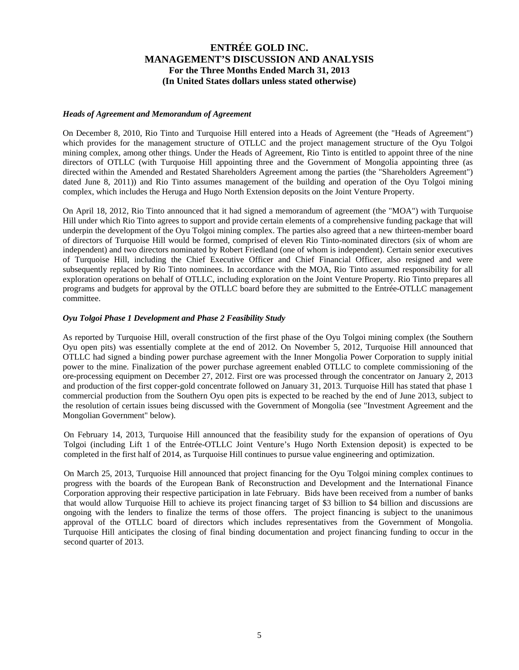### *Heads of Agreement and Memorandum of Agreement*

On December 8, 2010, Rio Tinto and Turquoise Hill entered into a Heads of Agreement (the "Heads of Agreement") which provides for the management structure of OTLLC and the project management structure of the Oyu Tolgoi mining complex, among other things. Under the Heads of Agreement, Rio Tinto is entitled to appoint three of the nine directors of OTLLC (with Turquoise Hill appointing three and the Government of Mongolia appointing three (as directed within the Amended and Restated Shareholders Agreement among the parties (the "Shareholders Agreement") dated June 8, 2011)) and Rio Tinto assumes management of the building and operation of the Oyu Tolgoi mining complex, which includes the Heruga and Hugo North Extension deposits on the Joint Venture Property.

On April 18, 2012, Rio Tinto announced that it had signed a memorandum of agreement (the "MOA") with Turquoise Hill under which Rio Tinto agrees to support and provide certain elements of a comprehensive funding package that will underpin the development of the Oyu Tolgoi mining complex. The parties also agreed that a new thirteen-member board of directors of Turquoise Hill would be formed, comprised of eleven Rio Tinto-nominated directors (six of whom are independent) and two directors nominated by Robert Friedland (one of whom is independent). Certain senior executives of Turquoise Hill, including the Chief Executive Officer and Chief Financial Officer, also resigned and were subsequently replaced by Rio Tinto nominees. In accordance with the MOA, Rio Tinto assumed responsibility for all exploration operations on behalf of OTLLC, including exploration on the Joint Venture Property. Rio Tinto prepares all programs and budgets for approval by the OTLLC board before they are submitted to the Entrée-OTLLC management committee.

### *Oyu Tolgoi Phase 1 Development and Phase 2 Feasibility Study*

As reported by Turquoise Hill, overall construction of the first phase of the Oyu Tolgoi mining complex (the Southern Oyu open pits) was essentially complete at the end of 2012. On November 5, 2012, Turquoise Hill announced that OTLLC had signed a binding power purchase agreement with the Inner Mongolia Power Corporation to supply initial power to the mine. Finalization of the power purchase agreement enabled OTLLC to complete commissioning of the ore-processing equipment on December 27, 2012. First ore was processed through the concentrator on January 2, 2013 and production of the first copper-gold concentrate followed on January 31, 2013. Turquoise Hill has stated that phase 1 commercial production from the Southern Oyu open pits is expected to be reached by the end of June 2013, subject to the resolution of certain issues being discussed with the Government of Mongolia (see "Investment Agreement and the Mongolian Government" below).

On February 14, 2013, Turquoise Hill announced that the feasibility study for the expansion of operations of Oyu Tolgoi (including Lift 1 of the Entrée-OTLLC Joint Venture's Hugo North Extension deposit) is expected to be completed in the first half of 2014, as Turquoise Hill continues to pursue value engineering and optimization.

On March 25, 2013, Turquoise Hill announced that project financing for the Oyu Tolgoi mining complex continues to progress with the boards of the European Bank of Reconstruction and Development and the International Finance Corporation approving their respective participation in late February. Bids have been received from a number of banks that would allow Turquoise Hill to achieve its project financing target of \$3 billion to \$4 billion and discussions are ongoing with the lenders to finalize the terms of those offers. The project financing is subject to the unanimous approval of the OTLLC board of directors which includes representatives from the Government of Mongolia. Turquoise Hill anticipates the closing of final binding documentation and project financing funding to occur in the second quarter of 2013.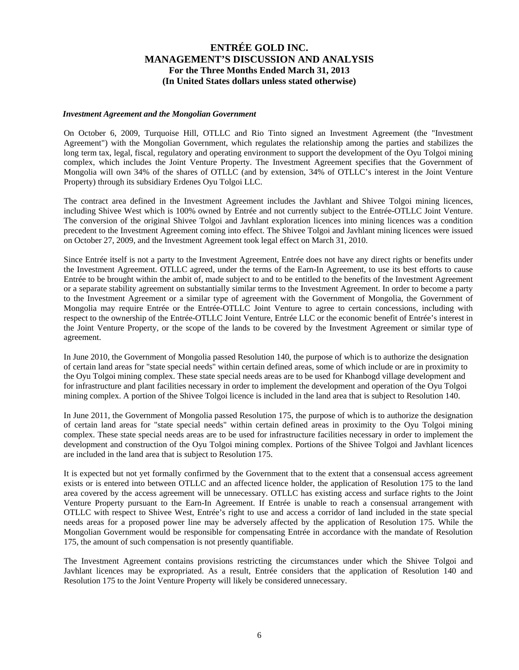#### *Investment Agreement and the Mongolian Government*

On October 6, 2009, Turquoise Hill, OTLLC and Rio Tinto signed an Investment Agreement (the "Investment Agreement") with the Mongolian Government, which regulates the relationship among the parties and stabilizes the long term tax, legal, fiscal, regulatory and operating environment to support the development of the Oyu Tolgoi mining complex, which includes the Joint Venture Property. The Investment Agreement specifies that the Government of Mongolia will own 34% of the shares of OTLLC (and by extension, 34% of OTLLC's interest in the Joint Venture Property) through its subsidiary Erdenes Oyu Tolgoi LLC.

The contract area defined in the Investment Agreement includes the Javhlant and Shivee Tolgoi mining licences, including Shivee West which is 100% owned by Entrée and not currently subject to the Entrée-OTLLC Joint Venture. The conversion of the original Shivee Tolgoi and Javhlant exploration licences into mining licences was a condition precedent to the Investment Agreement coming into effect. The Shivee Tolgoi and Javhlant mining licences were issued on October 27, 2009, and the Investment Agreement took legal effect on March 31, 2010.

Since Entrée itself is not a party to the Investment Agreement, Entrée does not have any direct rights or benefits under the Investment Agreement. OTLLC agreed, under the terms of the Earn-In Agreement, to use its best efforts to cause Entrée to be brought within the ambit of, made subject to and to be entitled to the benefits of the Investment Agreement or a separate stability agreement on substantially similar terms to the Investment Agreement. In order to become a party to the Investment Agreement or a similar type of agreement with the Government of Mongolia, the Government of Mongolia may require Entrée or the Entrée-OTLLC Joint Venture to agree to certain concessions, including with respect to the ownership of the Entrée-OTLLC Joint Venture, Entrée LLC or the economic benefit of Entrée's interest in the Joint Venture Property, or the scope of the lands to be covered by the Investment Agreement or similar type of agreement.

In June 2010, the Government of Mongolia passed Resolution 140, the purpose of which is to authorize the designation of certain land areas for "state special needs" within certain defined areas, some of which include or are in proximity to the Oyu Tolgoi mining complex. These state special needs areas are to be used for Khanbogd village development and for infrastructure and plant facilities necessary in order to implement the development and operation of the Oyu Tolgoi mining complex. A portion of the Shivee Tolgoi licence is included in the land area that is subject to Resolution 140.

In June 2011, the Government of Mongolia passed Resolution 175, the purpose of which is to authorize the designation of certain land areas for "state special needs" within certain defined areas in proximity to the Oyu Tolgoi mining complex. These state special needs areas are to be used for infrastructure facilities necessary in order to implement the development and construction of the Oyu Tolgoi mining complex. Portions of the Shivee Tolgoi and Javhlant licences are included in the land area that is subject to Resolution 175.

It is expected but not yet formally confirmed by the Government that to the extent that a consensual access agreement exists or is entered into between OTLLC and an affected licence holder, the application of Resolution 175 to the land area covered by the access agreement will be unnecessary. OTLLC has existing access and surface rights to the Joint Venture Property pursuant to the Earn-In Agreement. If Entrée is unable to reach a consensual arrangement with OTLLC with respect to Shivee West, Entrée's right to use and access a corridor of land included in the state special needs areas for a proposed power line may be adversely affected by the application of Resolution 175. While the Mongolian Government would be responsible for compensating Entrée in accordance with the mandate of Resolution 175, the amount of such compensation is not presently quantifiable.

The Investment Agreement contains provisions restricting the circumstances under which the Shivee Tolgoi and Javhlant licences may be expropriated. As a result, Entrée considers that the application of Resolution 140 and Resolution 175 to the Joint Venture Property will likely be considered unnecessary.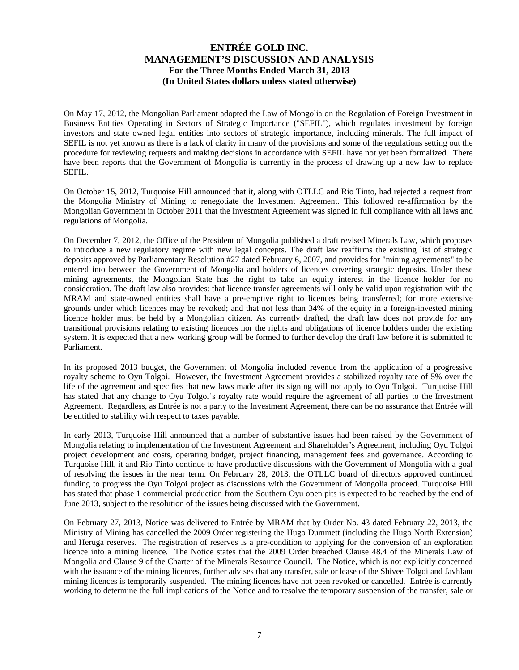On May 17, 2012, the Mongolian Parliament adopted the Law of Mongolia on the Regulation of Foreign Investment in Business Entities Operating in Sectors of Strategic Importance ("SEFIL"), which regulates investment by foreign investors and state owned legal entities into sectors of strategic importance, including minerals. The full impact of SEFIL is not yet known as there is a lack of clarity in many of the provisions and some of the regulations setting out the procedure for reviewing requests and making decisions in accordance with SEFIL have not yet been formalized. There have been reports that the Government of Mongolia is currently in the process of drawing up a new law to replace SEFIL.

On October 15, 2012, Turquoise Hill announced that it, along with OTLLC and Rio Tinto, had rejected a request from the Mongolia Ministry of Mining to renegotiate the Investment Agreement. This followed re-affirmation by the Mongolian Government in October 2011 that the Investment Agreement was signed in full compliance with all laws and regulations of Mongolia.

On December 7, 2012, the Office of the President of Mongolia published a draft revised Minerals Law, which proposes to introduce a new regulatory regime with new legal concepts. The draft law reaffirms the existing list of strategic deposits approved by Parliamentary Resolution #27 dated February 6, 2007, and provides for "mining agreements" to be entered into between the Government of Mongolia and holders of licences covering strategic deposits. Under these mining agreements, the Mongolian State has the right to take an equity interest in the licence holder for no consideration. The draft law also provides: that licence transfer agreements will only be valid upon registration with the MRAM and state-owned entities shall have a pre-emptive right to licences being transferred; for more extensive grounds under which licences may be revoked; and that not less than 34% of the equity in a foreign-invested mining licence holder must be held by a Mongolian citizen. As currently drafted, the draft law does not provide for any transitional provisions relating to existing licences nor the rights and obligations of licence holders under the existing system. It is expected that a new working group will be formed to further develop the draft law before it is submitted to Parliament.

In its proposed 2013 budget, the Government of Mongolia included revenue from the application of a progressive royalty scheme to Oyu Tolgoi. However, the Investment Agreement provides a stabilized royalty rate of 5% over the life of the agreement and specifies that new laws made after its signing will not apply to Oyu Tolgoi. Turquoise Hill has stated that any change to Oyu Tolgoi's royalty rate would require the agreement of all parties to the Investment Agreement. Regardless, as Entrée is not a party to the Investment Agreement, there can be no assurance that Entrée will be entitled to stability with respect to taxes payable.

In early 2013, Turquoise Hill announced that a number of substantive issues had been raised by the Government of Mongolia relating to implementation of the Investment Agreement and Shareholder's Agreement, including Oyu Tolgoi project development and costs, operating budget, project financing, management fees and governance. According to Turquoise Hill, it and Rio Tinto continue to have productive discussions with the Government of Mongolia with a goal of resolving the issues in the near term. On February 28, 2013, the OTLLC board of directors approved continued funding to progress the Oyu Tolgoi project as discussions with the Government of Mongolia proceed. Turquoise Hill has stated that phase 1 commercial production from the Southern Oyu open pits is expected to be reached by the end of June 2013, subject to the resolution of the issues being discussed with the Government.

On February 27, 2013, Notice was delivered to Entrée by MRAM that by Order No. 43 dated February 22, 2013, the Ministry of Mining has cancelled the 2009 Order registering the Hugo Dummett (including the Hugo North Extension) and Heruga reserves. The registration of reserves is a pre-condition to applying for the conversion of an exploration licence into a mining licence. The Notice states that the 2009 Order breached Clause 48.4 of the Minerals Law of Mongolia and Clause 9 of the Charter of the Minerals Resource Council. The Notice, which is not explicitly concerned with the issuance of the mining licences, further advises that any transfer, sale or lease of the Shivee Tolgoi and Javhlant mining licences is temporarily suspended. The mining licences have not been revoked or cancelled. Entrée is currently working to determine the full implications of the Notice and to resolve the temporary suspension of the transfer, sale or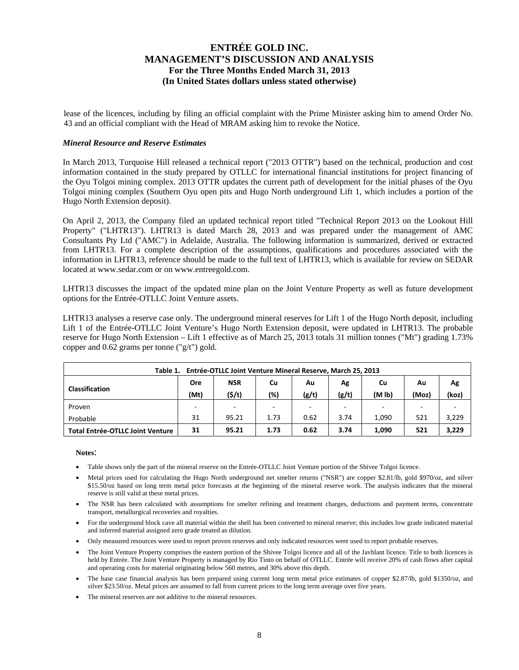lease of the licences, including by filing an official complaint with the Prime Minister asking him to amend Order No. 43 and an official compliant with the Head of MRAM asking him to revoke the Notice.

#### *Mineral Resource and Reserve Estimates*

In March 2013, Turquoise Hill released a technical report ("2013 OTTR") based on the technical, production and cost information contained in the study prepared by OTLLC for international financial institutions for project financing of the Oyu Tolgoi mining complex. 2013 OTTR updates the current path of development for the initial phases of the Oyu Tolgoi mining complex (Southern Oyu open pits and Hugo North underground Lift 1, which includes a portion of the Hugo North Extension deposit).

On April 2, 2013, the Company filed an updated technical report titled "Technical Report 2013 on the Lookout Hill Property" ("LHTR13"). LHTR13 is dated March 28, 2013 and was prepared under the management of AMC Consultants Pty Ltd ("AMC") in Adelaide, Australia. The following information is summarized, derived or extracted from LHTR13. For a complete description of the assumptions, qualifications and procedures associated with the information in LHTR13, reference should be made to the full text of LHTR13, which is available for review on SEDAR located at www.sedar.com or on www.entreegold.com.

LHTR13 discusses the impact of the updated mine plan on the Joint Venture Property as well as future development options for the Entrée-OTLLC Joint Venture assets.

LHTR13 analyses a reserve case only. The underground mineral reserves for Lift 1 of the Hugo North deposit, including Lift 1 of the Entrée-OTLLC Joint Venture's Hugo North Extension deposit, were updated in LHTR13. The probable reserve for Hugo North Extension – Lift 1 effective as of March 25, 2013 totals 31 million tonnes ("Mt") grading 1.73% copper and 0.62 grams per tonne ("g/t") gold.

| Entrée-OTLLC Joint Venture Mineral Reserve, March 25, 2013<br>Table 1. |            |                          |                          |       |       |                    |       |       |  |  |
|------------------------------------------------------------------------|------------|--------------------------|--------------------------|-------|-------|--------------------|-------|-------|--|--|
|                                                                        | <b>Ore</b> | <b>NSR</b>               | Cu<br>Ag<br>Au           |       | Cu    | Au                 | Ag    |       |  |  |
| <b>Classification</b>                                                  | (Mt)       | (\$/t)                   | (%)                      | (g/t) | (g/t) | (M <sub>lb</sub> ) | (Moz) | (koz) |  |  |
| Proven                                                                 | -          | $\overline{\phantom{a}}$ | $\overline{\phantom{a}}$ | -     |       |                    |       |       |  |  |
| Probable                                                               | 31         | 95.21                    | 1.73                     | 0.62  | 3.74  | 1.090              | 521   | 3,229 |  |  |
| <b>Total Entrée-OTLLC Joint Venture</b>                                | 31         | 95.21                    | 1.73                     | 0.62  | 3.74  | 1,090              | 521   | 3,229 |  |  |

#### **Notes**:

- Table shows only the part of the mineral reserve on the Entrée-OTLLC Joint Venture portion of the Shivee Tolgoi licence.
- Metal prices used for calculating the Hugo North underground net smelter returns ("NSR") are copper \$2.81/lb, gold \$970/oz, and silver \$15.50/oz based on long term metal price forecasts at the beginning of the mineral reserve work. The analysis indicates that the mineral reserve is still valid at these metal prices.
- The NSR has been calculated with assumptions for smelter refining and treatment charges, deductions and payment terms, concentrate transport, metallurgical recoveries and royalties.
- For the underground block cave all material within the shell has been converted to mineral reserve; this includes low grade indicated material and inferred material assigned zero grade treated as dilution.
- Only measured resources were used to report proven reserves and only indicated resources were used to report probable reserves.
- The Joint Venture Property comprises the eastern portion of the Shivee Tolgoi licence and all of the Javhlant licence. Title to both licences is held by Entrée. The Joint Venture Property is managed by Rio Tinto on behalf of OTLLC. Entrée will receive 20% of cash flows after capital and operating costs for material originating below 560 metres, and 30% above this depth.
- The base case financial analysis has been prepared using current long term metal price estimates of copper \$2.87/lb, gold \$1350/oz, and silver \$23.50/oz. Metal prices are assumed to fall from current prices to the long term average over five years.
- The mineral reserves are not additive to the mineral resources.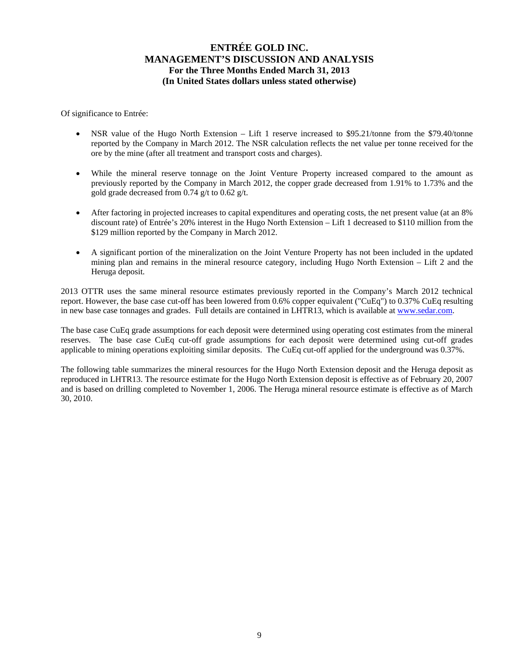Of significance to Entrée:

- NSR value of the Hugo North Extension Lift 1 reserve increased to \$95.21/tonne from the \$79.40/tonne reported by the Company in March 2012. The NSR calculation reflects the net value per tonne received for the ore by the mine (after all treatment and transport costs and charges).
- While the mineral reserve tonnage on the Joint Venture Property increased compared to the amount as previously reported by the Company in March 2012, the copper grade decreased from 1.91% to 1.73% and the gold grade decreased from 0.74 g/t to 0.62 g/t.
- After factoring in projected increases to capital expenditures and operating costs, the net present value (at an 8% discount rate) of Entrée's 20% interest in the Hugo North Extension – Lift 1 decreased to \$110 million from the \$129 million reported by the Company in March 2012.
- A significant portion of the mineralization on the Joint Venture Property has not been included in the updated mining plan and remains in the mineral resource category, including Hugo North Extension – Lift 2 and the Heruga deposit.

2013 OTTR uses the same mineral resource estimates previously reported in the Company's March 2012 technical report. However, the base case cut-off has been lowered from 0.6% copper equivalent ("CuEq") to 0.37% CuEq resulting in new base case tonnages and grades. Full details are contained in LHTR13, which is available at www.sedar.com.

The base case CuEq grade assumptions for each deposit were determined using operating cost estimates from the mineral reserves. The base case CuEq cut-off grade assumptions for each deposit were determined using cut-off grades applicable to mining operations exploiting similar deposits. The CuEq cut-off applied for the underground was 0.37%.

The following table summarizes the mineral resources for the Hugo North Extension deposit and the Heruga deposit as reproduced in LHTR13. The resource estimate for the Hugo North Extension deposit is effective as of February 20, 2007 and is based on drilling completed to November 1, 2006. The Heruga mineral resource estimate is effective as of March 30, 2010.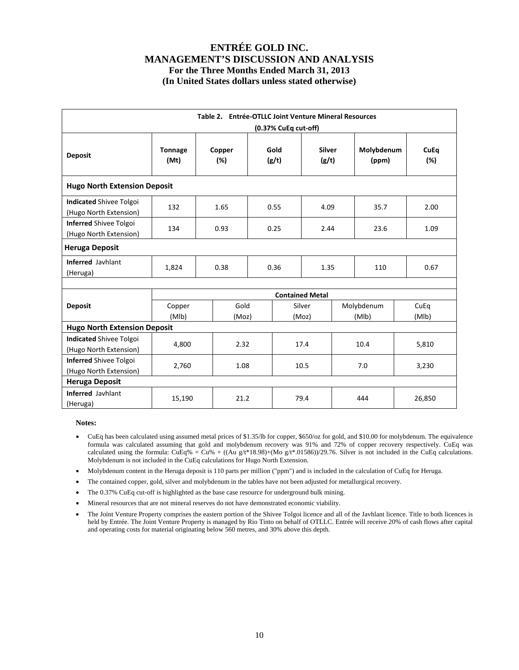| Table 2. Entrée-OTLLC Joint Venture Mineral Resources<br>(0.37% CuEq cut-off) |                        |               |      |               |                        |  |                     |  |                    |  |  |
|-------------------------------------------------------------------------------|------------------------|---------------|------|---------------|------------------------|--|---------------------|--|--------------------|--|--|
| <b>Deposit</b>                                                                | <b>Tonnage</b><br>(Mt) | Copper<br>(%) |      | Gold<br>(g/t) | <b>Silver</b><br>(g/t) |  | Molybdenum<br>(ppm) |  | <b>CuEq</b><br>(%) |  |  |
| <b>Hugo North Extension Deposit</b>                                           |                        |               |      |               |                        |  |                     |  |                    |  |  |
| <b>Indicated Shivee Tolgoi</b><br>(Hugo North Extension)                      | 132                    | 1.65          | 0.55 |               | 4.09                   |  | 35.7                |  | 2.00               |  |  |
| <b>Inferred Shivee Tolgoi</b><br>(Hugo North Extension)                       | 134                    | 0.93          | 0.25 |               | 2.44                   |  | 23.6                |  | 1.09               |  |  |
| <b>Heruga Deposit</b>                                                         |                        |               |      |               |                        |  |                     |  |                    |  |  |
| <b>Inferred Javhlant</b><br>(Heruga)                                          | 1,824                  | 0.38          |      | 0.36          | 1.35                   |  | 110                 |  | 0.67               |  |  |
|                                                                               |                        |               |      |               | <b>Contained Metal</b> |  |                     |  |                    |  |  |
| <b>Deposit</b>                                                                | Copper<br>(MIb)        | Gold<br>(Moz) |      |               | Silver<br>(Moz)        |  | Molybdenum<br>(Mlb) |  | CuEq<br>(MIb)      |  |  |
| <b>Hugo North Extension Deposit</b>                                           |                        |               |      |               |                        |  |                     |  |                    |  |  |
| <b>Indicated Shivee Tolgoi</b><br>(Hugo North Extension)                      | 4,800                  | 2.32          |      |               | 17.4                   |  | 10.4                |  | 5,810              |  |  |
| <b>Inferred Shivee Tolgoi</b><br>(Hugo North Extension)                       | 2,760                  | 1.08          |      |               | 10.5                   |  | 7.0                 |  | 3,230              |  |  |
| <b>Heruga Deposit</b>                                                         |                        |               |      |               |                        |  |                     |  |                    |  |  |
| <b>Inferred Javhlant</b><br>(Heruga)                                          | 15,190                 | 21.2          |      | 79.4          |                        |  | 444                 |  | 26,850             |  |  |

#### **Notes:**

- CuEq has been calculated using assumed metal prices of \$1.35/lb for copper, \$650/oz for gold, and \$10.00 for molybdenum. The equivalence formula was calculated assuming that gold and molybdenum recovery was 91% and 72% of copper recovery respectively. CuEq was calculated using the formula: CuEq% = Cu% + ((Au g/t\*18.98)+(Mo g/t\*.01586))/29.76. Silver is not included in the CuEq calculations. Molybdenum is not included in the CuEq calculations for Hugo North Extension.
- Molybdenum content in the Heruga deposit is 110 parts per million ("ppm") and is included in the calculation of CuEq for Heruga.
- The contained copper, gold, silver and molybdenum in the tables have not been adjusted for metallurgical recovery.
- The 0.37% CuEq cut-off is highlighted as the base case resource for underground bulk mining.
- Mineral resources that are not mineral reserves do not have demonstrated economic viability.
- The Joint Venture Property comprises the eastern portion of the Shivee Tolgoi licence and all of the Javhlant licence. Title to both licences is held by Entrée. The Joint Venture Property is managed by Rio Tinto on behalf of OTLLC. Entrée will receive 20% of cash flows after capital and operating costs for material originating below 560 metres, and 30% above this depth.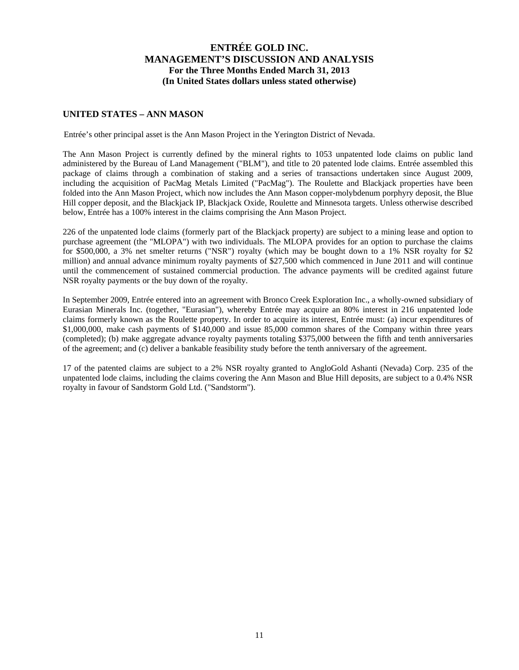### **UNITED STATES – ANN MASON**

Entrée's other principal asset is the Ann Mason Project in the Yerington District of Nevada.

The Ann Mason Project is currently defined by the mineral rights to 1053 unpatented lode claims on public land administered by the Bureau of Land Management ("BLM"), and title to 20 patented lode claims. Entrée assembled this package of claims through a combination of staking and a series of transactions undertaken since August 2009, including the acquisition of PacMag Metals Limited ("PacMag"). The Roulette and Blackjack properties have been folded into the Ann Mason Project, which now includes the Ann Mason copper-molybdenum porphyry deposit, the Blue Hill copper deposit, and the Blackjack IP, Blackjack Oxide, Roulette and Minnesota targets. Unless otherwise described below, Entrée has a 100% interest in the claims comprising the Ann Mason Project.

226 of the unpatented lode claims (formerly part of the Blackjack property) are subject to a mining lease and option to purchase agreement (the "MLOPA") with two individuals. The MLOPA provides for an option to purchase the claims for \$500,000, a 3% net smelter returns ("NSR") royalty (which may be bought down to a 1% NSR royalty for \$2 million) and annual advance minimum royalty payments of \$27,500 which commenced in June 2011 and will continue until the commencement of sustained commercial production. The advance payments will be credited against future NSR royalty payments or the buy down of the royalty.

In September 2009, Entrée entered into an agreement with Bronco Creek Exploration Inc., a wholly-owned subsidiary of Eurasian Minerals Inc. (together, "Eurasian"), whereby Entrée may acquire an 80% interest in 216 unpatented lode claims formerly known as the Roulette property. In order to acquire its interest, Entrée must: (a) incur expenditures of \$1,000,000, make cash payments of \$140,000 and issue 85,000 common shares of the Company within three years (completed); (b) make aggregate advance royalty payments totaling \$375,000 between the fifth and tenth anniversaries of the agreement; and (c) deliver a bankable feasibility study before the tenth anniversary of the agreement.

17 of the patented claims are subject to a 2% NSR royalty granted to AngloGold Ashanti (Nevada) Corp. 235 of the unpatented lode claims, including the claims covering the Ann Mason and Blue Hill deposits, are subject to a 0.4% NSR royalty in favour of Sandstorm Gold Ltd. ("Sandstorm").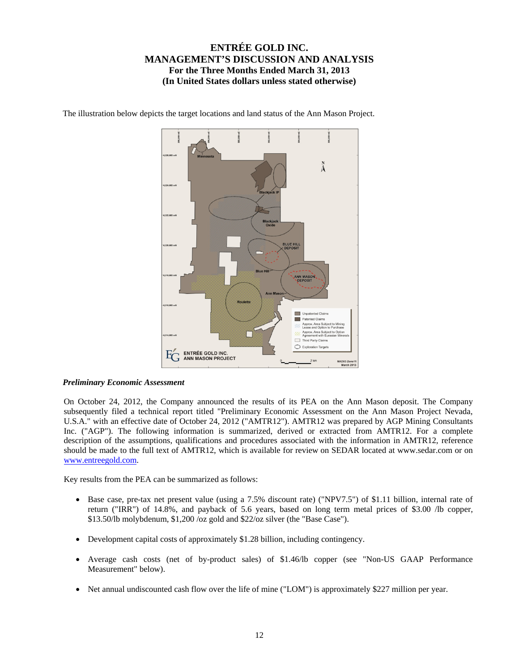

The illustration below depicts the target locations and land status of the Ann Mason Project.

#### *Preliminary Economic Assessment*

On October 24, 2012, the Company announced the results of its PEA on the Ann Mason deposit. The Company subsequently filed a technical report titled "Preliminary Economic Assessment on the Ann Mason Project Nevada, U.S.A." with an effective date of October 24, 2012 ("AMTR12"). AMTR12 was prepared by AGP Mining Consultants Inc. ("AGP"). The following information is summarized, derived or extracted from AMTR12. For a complete description of the assumptions, qualifications and procedures associated with the information in AMTR12, reference should be made to the full text of AMTR12, which is available for review on SEDAR located at www.sedar.com or on www.entreegold.com.

Key results from the PEA can be summarized as follows:

- Base case, pre-tax net present value (using a 7.5% discount rate) ("NPV7.5") of \$1.11 billion, internal rate of return ("IRR") of 14.8%, and payback of 5.6 years, based on long term metal prices of \$3.00 /lb copper, \$13.50/lb molybdenum, \$1,200 /oz gold and \$22/oz silver (the "Base Case").
- Development capital costs of approximately \$1.28 billion, including contingency.
- Average cash costs (net of by-product sales) of \$1.46/lb copper (see "Non-US GAAP Performance Measurement" below).
- Net annual undiscounted cash flow over the life of mine ("LOM") is approximately \$227 million per year.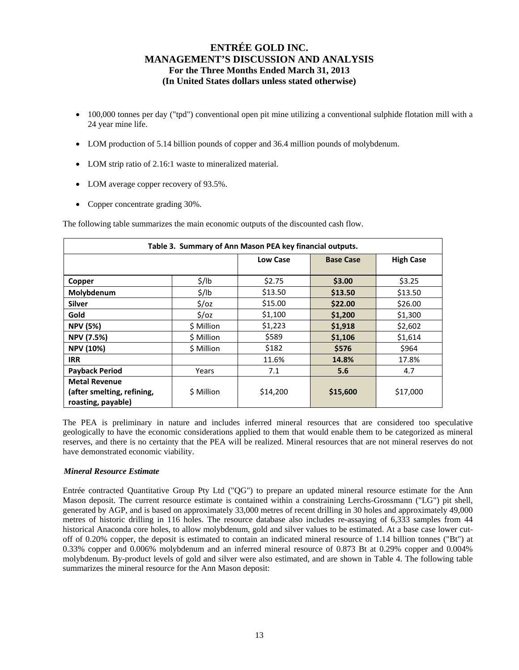- 100,000 tonnes per day ("tpd") conventional open pit mine utilizing a conventional sulphide flotation mill with a 24 year mine life.
- LOM production of 5.14 billion pounds of copper and 36.4 million pounds of molybdenum.
- LOM strip ratio of 2.16:1 waste to mineralized material.
- LOM average copper recovery of 93.5%.
- Copper concentrate grading 30%.

The following table summarizes the main economic outputs of the discounted cash flow.

| Table 3. Summary of Ann Mason PEA key financial outputs. |                   |                 |                  |                  |  |  |  |  |  |  |
|----------------------------------------------------------|-------------------|-----------------|------------------|------------------|--|--|--|--|--|--|
|                                                          |                   | <b>Low Case</b> | <b>Base Case</b> | <b>High Case</b> |  |  |  |  |  |  |
|                                                          |                   |                 |                  |                  |  |  |  |  |  |  |
| Copper                                                   | $\frac{1}{2}$ /lb | \$2.75          | \$3.00           | \$3.25           |  |  |  |  |  |  |
| Molybdenum                                               | $\frac{1}{2}$ /lb | \$13.50         | \$13.50          | \$13.50          |  |  |  |  |  |  |
| <b>Silver</b>                                            | $\frac{2}{3}$ /0z | \$15.00         | \$22.00          | \$26.00          |  |  |  |  |  |  |
| Gold                                                     | $\frac{2}{3}$ /0z | \$1,100         | \$1,200          | \$1,300          |  |  |  |  |  |  |
| <b>NPV (5%)</b>                                          | \$ Million        | \$1,223         | \$1,918          | \$2,602          |  |  |  |  |  |  |
| <b>NPV (7.5%)</b>                                        | \$ Million        | \$589           | \$1,106          | \$1,614          |  |  |  |  |  |  |
| <b>NPV (10%)</b>                                         | \$ Million        | \$182           | \$576            | \$964            |  |  |  |  |  |  |
| <b>IRR</b>                                               |                   | 11.6%           | 14.8%            | 17.8%            |  |  |  |  |  |  |
| <b>Payback Period</b>                                    | Years             | 7.1             | 5.6              | 4.7              |  |  |  |  |  |  |
| <b>Metal Revenue</b>                                     |                   |                 |                  |                  |  |  |  |  |  |  |
| (after smelting, refining,                               | \$ Million        | \$14,200        | \$15,600         | \$17,000         |  |  |  |  |  |  |
| roasting, payable)                                       |                   |                 |                  |                  |  |  |  |  |  |  |

The PEA is preliminary in nature and includes inferred mineral resources that are considered too speculative geologically to have the economic considerations applied to them that would enable them to be categorized as mineral reserves, and there is no certainty that the PEA will be realized. Mineral resources that are not mineral reserves do not have demonstrated economic viability.

### *Mineral Resource Estimate*

Entrée contracted Quantitative Group Pty Ltd ("QG") to prepare an updated mineral resource estimate for the Ann Mason deposit. The current resource estimate is contained within a constraining Lerchs-Grossmann ("LG") pit shell, generated by AGP, and is based on approximately 33,000 metres of recent drilling in 30 holes and approximately 49,000 metres of historic drilling in 116 holes. The resource database also includes re-assaying of 6,333 samples from 44 historical Anaconda core holes, to allow molybdenum, gold and silver values to be estimated. At a base case lower cutoff of 0.20% copper, the deposit is estimated to contain an indicated mineral resource of 1.14 billion tonnes ("Bt") at 0.33% copper and 0.006% molybdenum and an inferred mineral resource of 0.873 Bt at 0.29% copper and 0.004% molybdenum. By-product levels of gold and silver were also estimated, and are shown in Table 4. The following table summarizes the mineral resource for the Ann Mason deposit: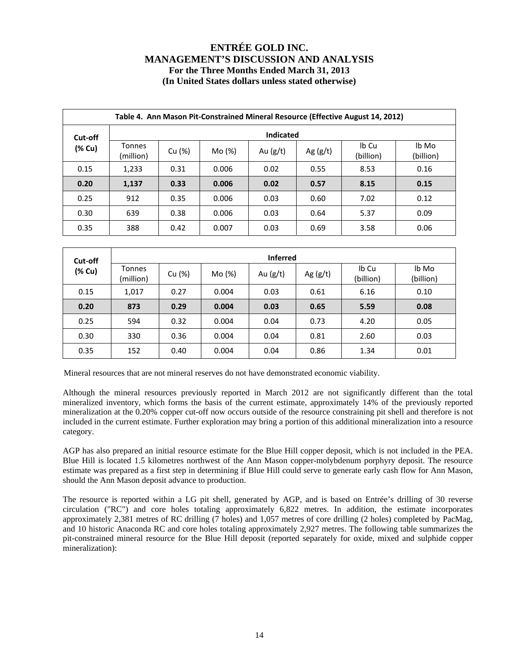|         | Table 4. Ann Mason Pit-Constrained Mineral Resource (Effective August 14, 2012) |        |        |            |            |                    |                    |  |  |  |  |
|---------|---------------------------------------------------------------------------------|--------|--------|------------|------------|--------------------|--------------------|--|--|--|--|
| Cut-off | <b>Indicated</b>                                                                |        |        |            |            |                    |                    |  |  |  |  |
| (% Cu)  | Tonnes<br>(million)                                                             | Cu (%) | Mo (%) | Au $(g/t)$ | Ag $(g/t)$ | Ib Cu<br>(billion) | lb Mo<br>(billion) |  |  |  |  |
| 0.15    | 1,233                                                                           | 0.31   | 0.006  | 0.02       | 0.55       | 8.53               | 0.16               |  |  |  |  |
| 0.20    | 1,137                                                                           | 0.33   | 0.006  | 0.02       | 0.57       | 8.15               | 0.15               |  |  |  |  |
| 0.25    | 912                                                                             | 0.35   | 0.006  | 0.03       | 0.60       | 7.02               | 0.12               |  |  |  |  |
| 0.30    | 639                                                                             | 0.38   | 0.006  | 0.03       | 0.64       | 5.37               | 0.09               |  |  |  |  |
| 0.35    | 388                                                                             | 0.42   | 0.007  | 0.03       | 0.69       | 3.58               | 0.06               |  |  |  |  |

| Cut-off | <b>Inferred</b>     |        |        |            |            |                    |                    |  |  |  |  |
|---------|---------------------|--------|--------|------------|------------|--------------------|--------------------|--|--|--|--|
| (% Cu)  | Tonnes<br>(million) | Cu (%) | Mo (%) | Au $(g/t)$ | Ag $(g/t)$ | Ib Cu<br>(billion) | lb Mo<br>(billion) |  |  |  |  |
| 0.15    | 1,017               | 0.27   | 0.004  | 0.03       | 0.61       | 6.16               | 0.10               |  |  |  |  |
| 0.20    | 873                 | 0.29   | 0.004  | 0.03       | 0.65       | 5.59               | 0.08               |  |  |  |  |
| 0.25    | 594                 | 0.32   | 0.004  | 0.04       | 0.73       | 4.20               | 0.05               |  |  |  |  |
| 0.30    | 330                 | 0.36   | 0.004  | 0.04       | 0.81       | 2.60               | 0.03               |  |  |  |  |
| 0.35    | 152                 | 0.40   | 0.004  | 0.04       | 0.86       | 1.34               | 0.01               |  |  |  |  |

Mineral resources that are not mineral reserves do not have demonstrated economic viability.

Although the mineral resources previously reported in March 2012 are not significantly different than the total mineralized inventory, which forms the basis of the current estimate, approximately 14% of the previously reported mineralization at the 0.20% copper cut-off now occurs outside of the resource constraining pit shell and therefore is not included in the current estimate. Further exploration may bring a portion of this additional mineralization into a resource category.

AGP has also prepared an initial resource estimate for the Blue Hill copper deposit, which is not included in the PEA. Blue Hill is located 1.5 kilometres northwest of the Ann Mason copper-molybdenum porphyry deposit. The resource estimate was prepared as a first step in determining if Blue Hill could serve to generate early cash flow for Ann Mason, should the Ann Mason deposit advance to production.

The resource is reported within a LG pit shell, generated by AGP, and is based on Entrée's drilling of 30 reverse circulation ("RC") and core holes totaling approximately 6,822 metres. In addition, the estimate incorporates approximately 2,381 metres of RC drilling (7 holes) and 1,057 metres of core drilling (2 holes) completed by PacMag, and 10 historic Anaconda RC and core holes totaling approximately 2,927 metres. The following table summarizes the pit-constrained mineral resource for the Blue Hill deposit (reported separately for oxide, mixed and sulphide copper mineralization):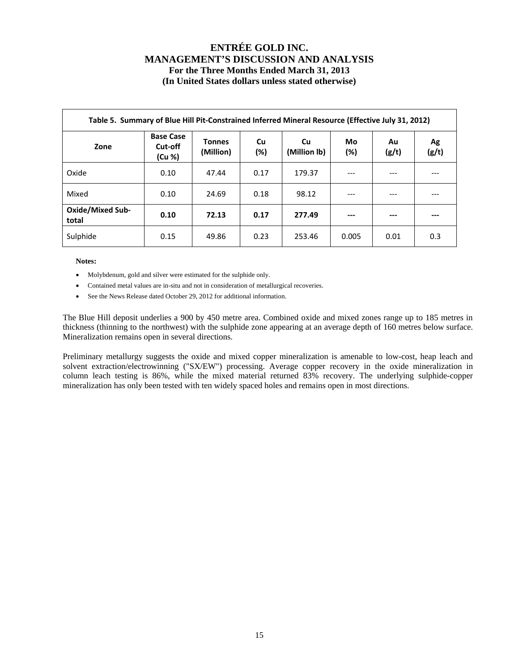| Table 5. Summary of Blue Hill Pit-Constrained Inferred Mineral Resource (Effective July 31, 2012) |                                       |                            |              |                    |           |             |             |  |  |  |  |
|---------------------------------------------------------------------------------------------------|---------------------------------------|----------------------------|--------------|--------------------|-----------|-------------|-------------|--|--|--|--|
| Zone                                                                                              | <b>Base Case</b><br>Cut-off<br>(Cu %) | <b>Tonnes</b><br>(Million) | Cu<br>$(\%)$ | Cu<br>(Million lb) | Mo<br>(%) | Au<br>(g/t) | Ag<br>(g/t) |  |  |  |  |
| Oxide                                                                                             | 0.10                                  | 47.44                      | 0.17         | 179.37             | ---       |             |             |  |  |  |  |
| Mixed                                                                                             | 0.10                                  | 24.69                      | 0.18         | 98.12              | ---       | ---         |             |  |  |  |  |
| <b>Oxide/Mixed Sub-</b><br>total                                                                  | 0.10                                  | 72.13                      | 0.17         | 277.49             | ---       |             |             |  |  |  |  |
| Sulphide                                                                                          | 0.15                                  | 49.86                      | 0.23         | 253.46             | 0.005     | 0.01        | 0.3         |  |  |  |  |

**Notes:** 

- Molybdenum, gold and silver were estimated for the sulphide only.
- Contained metal values are in-situ and not in consideration of metallurgical recoveries.
- See the News Release dated October 29, 2012 for additional information.

The Blue Hill deposit underlies a 900 by 450 metre area. Combined oxide and mixed zones range up to 185 metres in thickness (thinning to the northwest) with the sulphide zone appearing at an average depth of 160 metres below surface. Mineralization remains open in several directions.

Preliminary metallurgy suggests the oxide and mixed copper mineralization is amenable to low-cost, heap leach and solvent extraction/electrowinning ("SX/EW") processing. Average copper recovery in the oxide mineralization in column leach testing is 86%, while the mixed material returned 83% recovery. The underlying sulphide-copper mineralization has only been tested with ten widely spaced holes and remains open in most directions.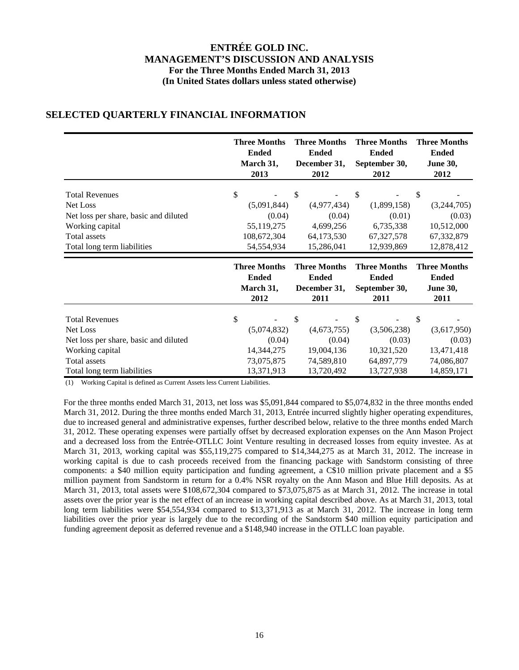|                                       | <b>Three Months</b> | <b>Three Months</b> | <b>Three Months</b> | <b>Three Months</b> |
|---------------------------------------|---------------------|---------------------|---------------------|---------------------|
|                                       | <b>Ended</b>        | <b>Ended</b>        | <b>Ended</b>        | <b>Ended</b>        |
|                                       | March 31,           | December 31,        | September 30,       | <b>June 30,</b>     |
|                                       | 2013                | 2012                | 2012                | 2012                |
| <b>Total Revenues</b>                 | \$                  | $\mathcal{S}$       | \$                  | \$                  |
| Net Loss                              | (5,091,844)         | (4,977,434)         | (1,899,158)         | (3,244,705)         |
| Net loss per share, basic and diluted | (0.04)              | (0.04)              | (0.01)              | (0.03)              |
| Working capital                       | 55,119,275          | 4,699,256           | 6,735,338           | 10,512,000          |
| Total assets                          | 108,672,304         | 64,173,530          | 67, 327, 578        | 67,332,879          |
| Total long term liabilities           | 54,554,934          | 15,286,041          | 12,939,869          | 12,878,412          |
|                                       | <b>Three Months</b> | <b>Three Months</b> | <b>Three Months</b> | <b>Three Months</b> |
|                                       | <b>Ended</b>        | <b>Ended</b>        | <b>Ended</b>        | <b>Ended</b>        |
|                                       | March 31,           | December 31,        | September 30,       | <b>June 30,</b>     |
|                                       | 2012                | 2011                | 2011                | 2011                |
| <b>Total Revenues</b>                 | \$                  | \$                  | \$                  | \$                  |
| Net Loss                              | (5,074,832)         | (4,673,755)         | (3,506,238)         | (3,617,950)         |

## **SELECTED QUARTERLY FINANCIAL INFORMATION**

(1) Working Capital is defined as Current Assets less Current Liabilities.

For the three months ended March 31, 2013, net loss was \$5,091,844 compared to \$5,074,832 in the three months ended March 31, 2012. During the three months ended March 31, 2013, Entrée incurred slightly higher operating expenditures, due to increased general and administrative expenses, further described below, relative to the three months ended March 31, 2012. These operating expenses were partially offset by decreased exploration expenses on the Ann Mason Project and a decreased loss from the Entrée-OTLLC Joint Venture resulting in decreased losses from equity investee. As at March 31, 2013, working capital was \$55,119,275 compared to \$14,344,275 as at March 31, 2012. The increase in working capital is due to cash proceeds received from the financing package with Sandstorm consisting of three components: a \$40 million equity participation and funding agreement, a C\$10 million private placement and a \$5 million payment from Sandstorm in return for a 0.4% NSR royalty on the Ann Mason and Blue Hill deposits. As at March 31, 2013, total assets were \$108,672,304 compared to \$73,075,875 as at March 31, 2012. The increase in total assets over the prior year is the net effect of an increase in working capital described above. As at March 31, 2013, total long term liabilities were \$54,554,934 compared to \$13,371,913 as at March 31, 2012. The increase in long term liabilities over the prior year is largely due to the recording of the Sandstorm \$40 million equity participation and funding agreement deposit as deferred revenue and a \$148,940 increase in the OTLLC loan payable.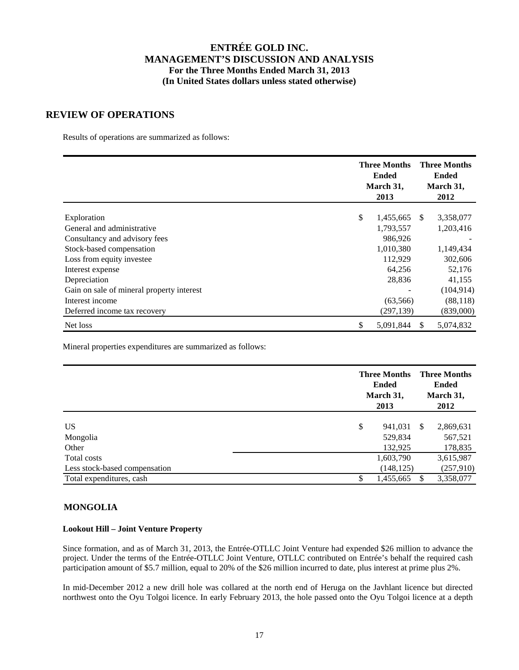### **REVIEW OF OPERATIONS**

Results of operations are summarized as follows:

|                                           | <b>Three Months</b><br><b>Ended</b><br>March 31,<br>2013 |    | <b>Three Months</b><br><b>Ended</b><br>March 31,<br>2012 |
|-------------------------------------------|----------------------------------------------------------|----|----------------------------------------------------------|
| Exploration                               | \$<br>1,455,665                                          | -S | 3,358,077                                                |
| General and administrative                | 1,793,557                                                |    | 1,203,416                                                |
| Consultancy and advisory fees             | 986.926                                                  |    |                                                          |
| Stock-based compensation                  | 1,010,380                                                |    | 1,149,434                                                |
| Loss from equity investee                 | 112,929                                                  |    | 302,606                                                  |
| Interest expense                          | 64,256                                                   |    | 52,176                                                   |
| Depreciation                              | 28,836                                                   |    | 41,155                                                   |
| Gain on sale of mineral property interest |                                                          |    | (104, 914)                                               |
| Interest income                           | (63, 566)                                                |    | (88, 118)                                                |
| Deferred income tax recovery              | (297, 139)                                               |    | (839,000)                                                |
| Net loss                                  | \$<br>5.091.844                                          | S  | 5.074.832                                                |

Mineral properties expenditures are summarized as follows:

|                                                                          | <b>Three Months</b><br><b>Ended</b><br>March 31,<br>2013 |              | <b>Three Months</b><br><b>Ended</b><br>March 31,<br>2012 |
|--------------------------------------------------------------------------|----------------------------------------------------------|--------------|----------------------------------------------------------|
| <b>US</b><br>Mongolia<br>Other                                           | \$<br>941,031<br>529,834<br>132,925                      | <sup>S</sup> | 2,869,631<br>567,521<br>178,835                          |
| Total costs<br>Less stock-based compensation<br>Total expenditures, cash | \$<br>1,603,790<br>(148, 125)<br>1,455,665               |              | 3,615,987<br>(257,910)<br>3,358,077                      |

### **MONGOLIA**

### **Lookout Hill – Joint Venture Property**

Since formation, and as of March 31, 2013, the Entrée-OTLLC Joint Venture had expended \$26 million to advance the project. Under the terms of the Entrée-OTLLC Joint Venture, OTLLC contributed on Entrée's behalf the required cash participation amount of \$5.7 million, equal to 20% of the \$26 million incurred to date, plus interest at prime plus 2%.

In mid-December 2012 a new drill hole was collared at the north end of Heruga on the Javhlant licence but directed northwest onto the Oyu Tolgoi licence. In early February 2013, the hole passed onto the Oyu Tolgoi licence at a depth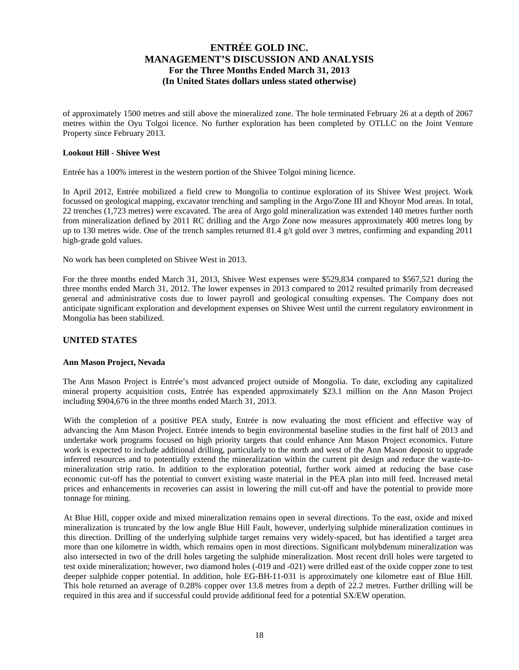of approximately 1500 metres and still above the mineralized zone. The hole terminated February 26 at a depth of 2067 metres within the Oyu Tolgoi licence. No further exploration has been completed by OTLLC on the Joint Venture Property since February 2013.

### **Lookout Hill - Shivee West**

Entrée has a 100% interest in the western portion of the Shivee Tolgoi mining licence.

In April 2012, Entrée mobilized a field crew to Mongolia to continue exploration of its Shivee West project. Work focussed on geological mapping, excavator trenching and sampling in the Argo/Zone III and Khoyor Mod areas. In total, 22 trenches (1,723 metres) were excavated. The area of Argo gold mineralization was extended 140 metres further north from mineralization defined by 2011 RC drilling and the Argo Zone now measures approximately 400 metres long by up to 130 metres wide. One of the trench samples returned 81.4  $g/t$  gold over 3 metres, confirming and expanding 2011 high-grade gold values.

No work has been completed on Shivee West in 2013.

For the three months ended March 31, 2013, Shivee West expenses were \$529,834 compared to \$567,521 during the three months ended March 31, 2012. The lower expenses in 2013 compared to 2012 resulted primarily from decreased general and administrative costs due to lower payroll and geological consulting expenses. The Company does not anticipate significant exploration and development expenses on Shivee West until the current regulatory environment in Mongolia has been stabilized.

### **UNITED STATES**

### **Ann Mason Project, Nevada**

The Ann Mason Project is Entrée's most advanced project outside of Mongolia. To date, excluding any capitalized mineral property acquisition costs, Entrée has expended approximately \$23.1 million on the Ann Mason Project including \$904,676 in the three months ended March 31, 2013.

With the completion of a positive PEA study, Entrée is now evaluating the most efficient and effective way of advancing the Ann Mason Project. Entrée intends to begin environmental baseline studies in the first half of 2013 and undertake work programs focused on high priority targets that could enhance Ann Mason Project economics. Future work is expected to include additional drilling, particularly to the north and west of the Ann Mason deposit to upgrade inferred resources and to potentially extend the mineralization within the current pit design and reduce the waste-tomineralization strip ratio. In addition to the exploration potential, further work aimed at reducing the base case economic cut-off has the potential to convert existing waste material in the PEA plan into mill feed. Increased metal prices and enhancements in recoveries can assist in lowering the mill cut-off and have the potential to provide more tonnage for mining.

At Blue Hill, copper oxide and mixed mineralization remains open in several directions. To the east, oxide and mixed mineralization is truncated by the low angle Blue Hill Fault, however, underlying sulphide mineralization continues in this direction. Drilling of the underlying sulphide target remains very widely-spaced, but has identified a target area more than one kilometre in width, which remains open in most directions. Significant molybdenum mineralization was also intersected in two of the drill holes targeting the sulphide mineralization. Most recent drill holes were targeted to test oxide mineralization; however, two diamond holes (-019 and -021) were drilled east of the oxide copper zone to test deeper sulphide copper potential. In addition, hole EG-BH-11-031 is approximately one kilometre east of Blue Hill. This hole returned an average of 0.28% copper over 13.8 metres from a depth of 22.2 metres. Further drilling will be required in this area and if successful could provide additional feed for a potential SX/EW operation.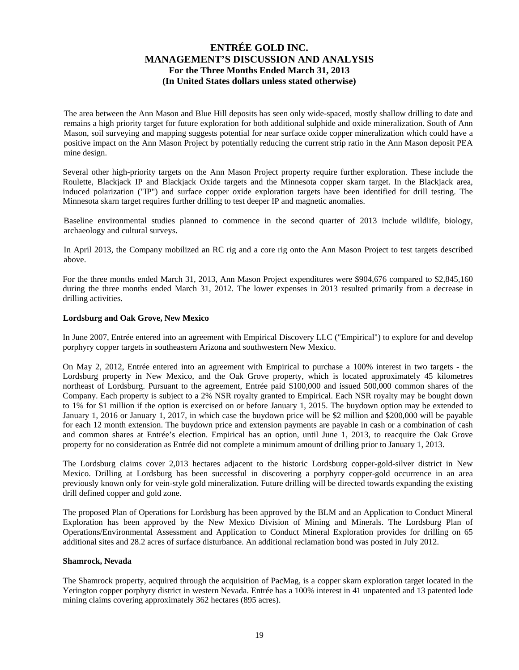The area between the Ann Mason and Blue Hill deposits has seen only wide-spaced, mostly shallow drilling to date and remains a high priority target for future exploration for both additional sulphide and oxide mineralization. South of Ann Mason, soil surveying and mapping suggests potential for near surface oxide copper mineralization which could have a positive impact on the Ann Mason Project by potentially reducing the current strip ratio in the Ann Mason deposit PEA mine design.

Several other high-priority targets on the Ann Mason Project property require further exploration. These include the Roulette, Blackjack IP and Blackjack Oxide targets and the Minnesota copper skarn target. In the Blackjack area, induced polarization ("IP") and surface copper oxide exploration targets have been identified for drill testing. The Minnesota skarn target requires further drilling to test deeper IP and magnetic anomalies.

Baseline environmental studies planned to commence in the second quarter of 2013 include wildlife, biology, archaeology and cultural surveys.

In April 2013, the Company mobilized an RC rig and a core rig onto the Ann Mason Project to test targets described above.

For the three months ended March 31, 2013, Ann Mason Project expenditures were \$904,676 compared to \$2,845,160 during the three months ended March 31, 2012. The lower expenses in 2013 resulted primarily from a decrease in drilling activities.

### **Lordsburg and Oak Grove, New Mexico**

In June 2007, Entrée entered into an agreement with Empirical Discovery LLC ("Empirical") to explore for and develop porphyry copper targets in southeastern Arizona and southwestern New Mexico.

On May 2, 2012, Entrée entered into an agreement with Empirical to purchase a 100% interest in two targets - the Lordsburg property in New Mexico, and the Oak Grove property, which is located approximately 45 kilometres northeast of Lordsburg. Pursuant to the agreement, Entrée paid \$100,000 and issued 500,000 common shares of the Company. Each property is subject to a 2% NSR royalty granted to Empirical. Each NSR royalty may be bought down to 1% for \$1 million if the option is exercised on or before January 1, 2015. The buydown option may be extended to January 1, 2016 or January 1, 2017, in which case the buydown price will be \$2 million and \$200,000 will be payable for each 12 month extension. The buydown price and extension payments are payable in cash or a combination of cash and common shares at Entrée's election. Empirical has an option, until June 1, 2013, to reacquire the Oak Grove property for no consideration as Entrée did not complete a minimum amount of drilling prior to January 1, 2013.

The Lordsburg claims cover 2,013 hectares adjacent to the historic Lordsburg copper-gold-silver district in New Mexico. Drilling at Lordsburg has been successful in discovering a porphyry copper-gold occurrence in an area previously known only for vein-style gold mineralization. Future drilling will be directed towards expanding the existing drill defined copper and gold zone.

The proposed Plan of Operations for Lordsburg has been approved by the BLM and an Application to Conduct Mineral Exploration has been approved by the New Mexico Division of Mining and Minerals. The Lordsburg Plan of Operations/Environmental Assessment and Application to Conduct Mineral Exploration provides for drilling on 65 additional sites and 28.2 acres of surface disturbance. An additional reclamation bond was posted in July 2012.

#### **Shamrock, Nevada**

The Shamrock property, acquired through the acquisition of PacMag, is a copper skarn exploration target located in the Yerington copper porphyry district in western Nevada. Entrée has a 100% interest in 41 unpatented and 13 patented lode mining claims covering approximately 362 hectares (895 acres).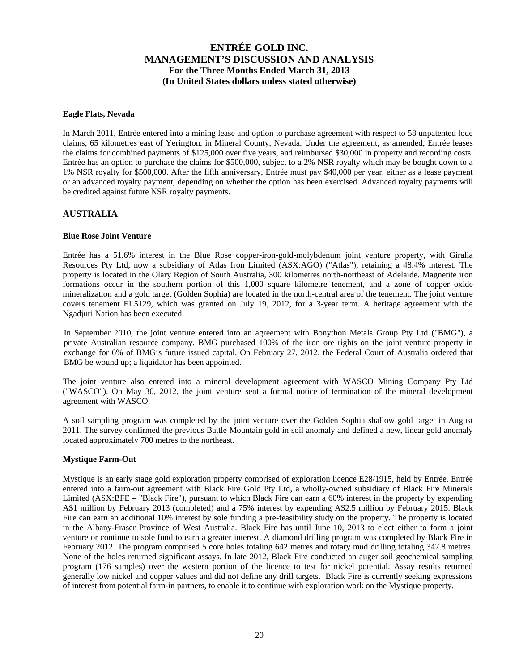### **Eagle Flats, Nevada**

In March 2011, Entrée entered into a mining lease and option to purchase agreement with respect to 58 unpatented lode claims, 65 kilometres east of Yerington, in Mineral County, Nevada. Under the agreement, as amended, Entrée leases the claims for combined payments of \$125,000 over five years, and reimbursed \$30,000 in property and recording costs. Entrée has an option to purchase the claims for \$500,000, subject to a 2% NSR royalty which may be bought down to a 1% NSR royalty for \$500,000. After the fifth anniversary, Entrée must pay \$40,000 per year, either as a lease payment or an advanced royalty payment, depending on whether the option has been exercised. Advanced royalty payments will be credited against future NSR royalty payments.

### **AUSTRALIA**

### **Blue Rose Joint Venture**

Entrée has a 51.6% interest in the Blue Rose copper-iron-gold-molybdenum joint venture property, with Giralia Resources Pty Ltd, now a subsidiary of Atlas Iron Limited (ASX:AGO) ("Atlas"), retaining a 48.4% interest. The property is located in the Olary Region of South Australia, 300 kilometres north-northeast of Adelaide. Magnetite iron formations occur in the southern portion of this 1,000 square kilometre tenement, and a zone of copper oxide mineralization and a gold target (Golden Sophia) are located in the north-central area of the tenement. The joint venture covers tenement EL5129, which was granted on July 19, 2012, for a 3-year term. A heritage agreement with the Ngadjuri Nation has been executed.

In September 2010, the joint venture entered into an agreement with Bonython Metals Group Pty Ltd ("BMG"), a private Australian resource company. BMG purchased 100% of the iron ore rights on the joint venture property in exchange for 6% of BMG's future issued capital. On February 27, 2012, the Federal Court of Australia ordered that BMG be wound up; a liquidator has been appointed.

The joint venture also entered into a mineral development agreement with WASCO Mining Company Pty Ltd ("WASCO"). On May 30, 2012, the joint venture sent a formal notice of termination of the mineral development agreement with WASCO.

A soil sampling program was completed by the joint venture over the Golden Sophia shallow gold target in August 2011. The survey confirmed the previous Battle Mountain gold in soil anomaly and defined a new, linear gold anomaly located approximately 700 metres to the northeast.

### **Mystique Farm-Out**

Mystique is an early stage gold exploration property comprised of exploration licence E28/1915, held by Entrée. Entrée entered into a farm-out agreement with Black Fire Gold Pty Ltd, a wholly-owned subsidiary of Black Fire Minerals Limited (ASX:BFE – "Black Fire"), pursuant to which Black Fire can earn a 60% interest in the property by expending A\$1 million by February 2013 (completed) and a 75% interest by expending A\$2.5 million by February 2015. Black Fire can earn an additional 10% interest by sole funding a pre-feasibility study on the property. The property is located in the Albany-Fraser Province of West Australia. Black Fire has until June 10, 2013 to elect either to form a joint venture or continue to sole fund to earn a greater interest. A diamond drilling program was completed by Black Fire in February 2012. The program comprised 5 core holes totaling 642 metres and rotary mud drilling totaling 347.8 metres. None of the holes returned significant assays. In late 2012, Black Fire conducted an auger soil geochemical sampling program (176 samples) over the western portion of the licence to test for nickel potential. Assay results returned generally low nickel and copper values and did not define any drill targets. Black Fire is currently seeking expressions of interest from potential farm-in partners, to enable it to continue with exploration work on the Mystique property.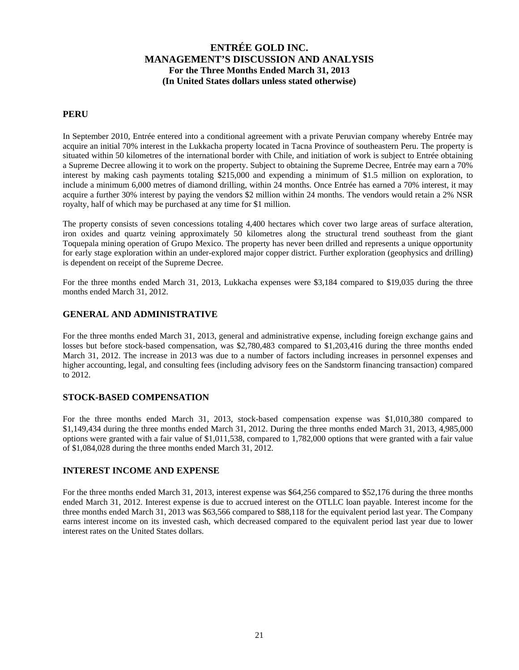### **PERU**

In September 2010, Entrée entered into a conditional agreement with a private Peruvian company whereby Entrée may acquire an initial 70% interest in the Lukkacha property located in Tacna Province of southeastern Peru. The property is situated within 50 kilometres of the international border with Chile, and initiation of work is subject to Entrée obtaining a Supreme Decree allowing it to work on the property. Subject to obtaining the Supreme Decree, Entrée may earn a 70% interest by making cash payments totaling \$215,000 and expending a minimum of \$1.5 million on exploration, to include a minimum 6,000 metres of diamond drilling, within 24 months. Once Entrée has earned a 70% interest, it may acquire a further 30% interest by paying the vendors \$2 million within 24 months. The vendors would retain a 2% NSR royalty, half of which may be purchased at any time for \$1 million.

The property consists of seven concessions totaling 4,400 hectares which cover two large areas of surface alteration, iron oxides and quartz veining approximately 50 kilometres along the structural trend southeast from the giant Toquepala mining operation of Grupo Mexico. The property has never been drilled and represents a unique opportunity for early stage exploration within an under-explored major copper district. Further exploration (geophysics and drilling) is dependent on receipt of the Supreme Decree.

For the three months ended March 31, 2013, Lukkacha expenses were \$3,184 compared to \$19,035 during the three months ended March 31, 2012.

### **GENERAL AND ADMINISTRATIVE**

For the three months ended March 31, 2013, general and administrative expense, including foreign exchange gains and losses but before stock-based compensation, was \$2,780,483 compared to \$1,203,416 during the three months ended March 31, 2012. The increase in 2013 was due to a number of factors including increases in personnel expenses and higher accounting, legal, and consulting fees (including advisory fees on the Sandstorm financing transaction) compared to 2012.

### **STOCK-BASED COMPENSATION**

For the three months ended March 31, 2013, stock-based compensation expense was \$1,010,380 compared to \$1,149,434 during the three months ended March 31, 2012. During the three months ended March 31, 2013, 4,985,000 options were granted with a fair value of \$1,011,538, compared to 1,782,000 options that were granted with a fair value of \$1,084,028 during the three months ended March 31, 2012.

### **INTEREST INCOME AND EXPENSE**

For the three months ended March 31, 2013, interest expense was \$64,256 compared to \$52,176 during the three months ended March 31, 2012. Interest expense is due to accrued interest on the OTLLC loan payable. Interest income for the three months ended March 31, 2013 was \$63,566 compared to \$88,118 for the equivalent period last year. The Company earns interest income on its invested cash, which decreased compared to the equivalent period last year due to lower interest rates on the United States dollars.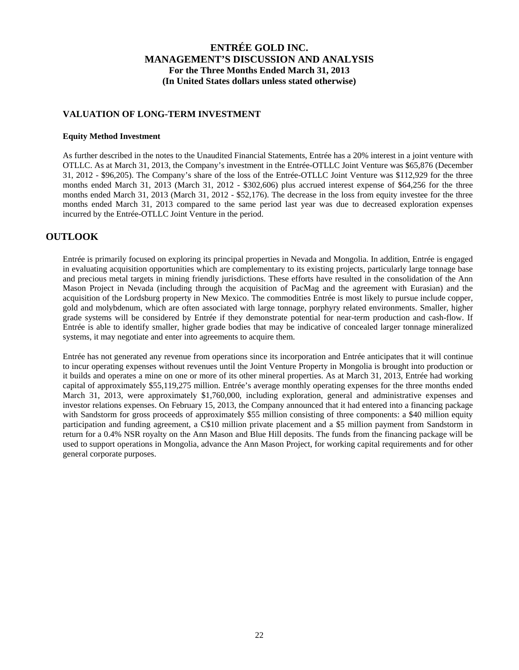### **VALUATION OF LONG-TERM INVESTMENT**

### **Equity Method Investment**

As further described in the notes to the Unaudited Financial Statements, Entrée has a 20% interest in a joint venture with OTLLC. As at March 31, 2013, the Company's investment in the Entrée-OTLLC Joint Venture was \$65,876 (December 31, 2012 - \$96,205). The Company's share of the loss of the Entrée-OTLLC Joint Venture was \$112,929 for the three months ended March 31, 2013 (March 31, 2012 - \$302,606) plus accrued interest expense of \$64,256 for the three months ended March 31, 2013 (March 31, 2012 - \$52,176). The decrease in the loss from equity investee for the three months ended March 31, 2013 compared to the same period last year was due to decreased exploration expenses incurred by the Entrée-OTLLC Joint Venture in the period.

# **OUTLOOK**

Entrée is primarily focused on exploring its principal properties in Nevada and Mongolia. In addition, Entrée is engaged in evaluating acquisition opportunities which are complementary to its existing projects, particularly large tonnage base and precious metal targets in mining friendly jurisdictions. These efforts have resulted in the consolidation of the Ann Mason Project in Nevada (including through the acquisition of PacMag and the agreement with Eurasian) and the acquisition of the Lordsburg property in New Mexico. The commodities Entrée is most likely to pursue include copper, gold and molybdenum, which are often associated with large tonnage, porphyry related environments. Smaller, higher grade systems will be considered by Entrée if they demonstrate potential for near-term production and cash-flow. If Entrée is able to identify smaller, higher grade bodies that may be indicative of concealed larger tonnage mineralized systems, it may negotiate and enter into agreements to acquire them.

Entrée has not generated any revenue from operations since its incorporation and Entrée anticipates that it will continue to incur operating expenses without revenues until the Joint Venture Property in Mongolia is brought into production or it builds and operates a mine on one or more of its other mineral properties. As at March 31, 2013, Entrée had working capital of approximately \$55,119,275 million. Entrée's average monthly operating expenses for the three months ended March 31, 2013, were approximately \$1,760,000, including exploration, general and administrative expenses and investor relations expenses. On February 15, 2013, the Company announced that it had entered into a financing package with Sandstorm for gross proceeds of approximately \$55 million consisting of three components: a \$40 million equity participation and funding agreement, a C\$10 million private placement and a \$5 million payment from Sandstorm in return for a 0.4% NSR royalty on the Ann Mason and Blue Hill deposits. The funds from the financing package will be used to support operations in Mongolia, advance the Ann Mason Project, for working capital requirements and for other general corporate purposes.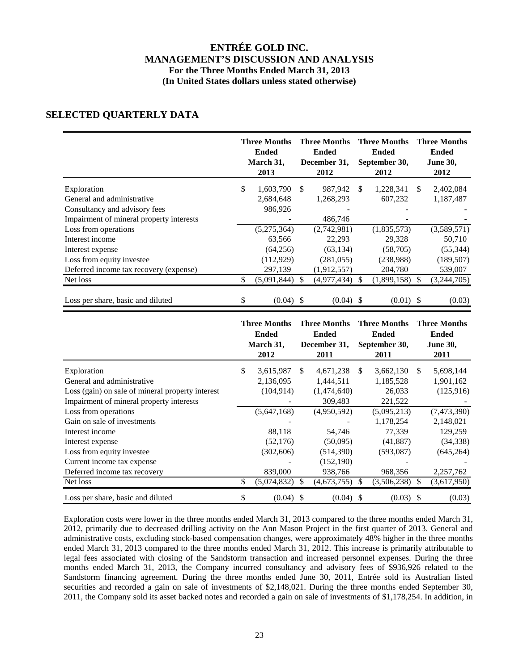# **SELECTED QUARTERLY DATA**

|                                                                  | <b>Three Months</b><br><b>Ended</b><br>March 31,<br>2013 |               | <b>Three Months</b><br><b>Ended</b><br>December 31,<br>2012 | <b>Three Months</b><br><b>Ended</b><br>September 30,<br>2012 |                          | <b>Three Months</b><br><b>Ended</b><br><b>June 30,</b><br>2012 |
|------------------------------------------------------------------|----------------------------------------------------------|---------------|-------------------------------------------------------------|--------------------------------------------------------------|--------------------------|----------------------------------------------------------------|
| Exploration                                                      | \$<br>1,603,790                                          | \$            | 987,942                                                     | \$<br>1,228,341                                              | \$                       | 2,402,084                                                      |
| General and administrative                                       | 2,684,648                                                |               | 1,268,293                                                   | 607,232                                                      |                          | 1,187,487                                                      |
| Consultancy and advisory fees                                    | 986,926                                                  |               |                                                             |                                                              |                          |                                                                |
| Impairment of mineral property interests                         |                                                          |               | 486,746                                                     |                                                              |                          |                                                                |
| Loss from operations                                             | (5,275,364)                                              |               | (2,742,981)                                                 | (1,835,573)                                                  |                          | (3,589,571)                                                    |
| Interest income                                                  | 63,566                                                   |               | 22,293                                                      | 29,328                                                       |                          | 50,710                                                         |
| Interest expense                                                 | (64, 256)                                                |               | (63, 134)                                                   | (58,705)                                                     |                          | (55, 344)                                                      |
| Loss from equity investee                                        | (112, 929)                                               |               | (281, 055)                                                  | (238,988)                                                    |                          | (189, 507)                                                     |
| Deferred income tax recovery (expense)                           | 297,139                                                  |               | (1,912,557)                                                 | 204,780                                                      |                          | 539,007                                                        |
| Net loss                                                         | \$<br>(5,091,844)                                        | \$            | (4,977,434)                                                 | \$<br>(1,899,158)                                            | \$                       | (3,244,705)                                                    |
| Loss per share, basic and diluted                                | \$<br>$(0.04)$ \$                                        |               | $(0.04)$ \$                                                 | $(0.01)$ \$                                                  |                          | (0.03)                                                         |
|                                                                  |                                                          |               |                                                             |                                                              |                          |                                                                |
|                                                                  | <b>Three Months</b><br><b>Ended</b><br>March 31,<br>2012 |               | <b>Three Months</b><br><b>Ended</b><br>December 31,<br>2011 | <b>Three Months</b><br><b>Ended</b><br>September 30,<br>2011 |                          | <b>Three Months</b><br><b>Ended</b><br><b>June 30,</b><br>2011 |
|                                                                  |                                                          |               |                                                             |                                                              |                          |                                                                |
| Exploration                                                      | \$<br>3,615,987                                          | \$            | 4,671,238                                                   | \$<br>3,662,130                                              | \$                       | 5,698,144                                                      |
| General and administrative                                       | 2,136,095                                                |               | 1,444,511                                                   | 1,185,528                                                    |                          | 1,901,162                                                      |
| Loss (gain) on sale of mineral property interest                 | (104, 914)                                               |               | (1,474,640)                                                 | 26,033                                                       |                          | (125, 916)                                                     |
| Impairment of mineral property interests<br>Loss from operations | (5,647,168)                                              |               | 309,483<br>(4,950,592)                                      | 221,522<br>(5,095,213)                                       |                          | (7,473,390)                                                    |
| Gain on sale of investments                                      |                                                          |               |                                                             | 1,178,254                                                    |                          |                                                                |
| Interest income                                                  |                                                          |               | 54,746                                                      |                                                              |                          | 2,148,021                                                      |
|                                                                  | 88,118<br>(52, 176)                                      |               | (50,095)                                                    | 77,339<br>(41, 887)                                          |                          | 129,259<br>(34, 338)                                           |
| Interest expense<br>Loss from equity investee                    | (302, 606)                                               |               | (514,390)                                                   | (593,087)                                                    |                          | (645, 264)                                                     |
| Current income tax expense                                       |                                                          |               | (152, 190)                                                  |                                                              |                          |                                                                |
| Deferred income tax recovery                                     | 839,000                                                  |               | 938,766                                                     | 968,356                                                      |                          | 2,257,762                                                      |
| Net loss                                                         | \$<br>(5,074,832)                                        | $\mathcal{S}$ | (4,673,755)                                                 | \$<br>(3,506,238)                                            | $\overline{\mathcal{S}}$ | (3,617,950)                                                    |

Exploration costs were lower in the three months ended March 31, 2013 compared to the three months ended March 31, 2012, primarily due to decreased drilling activity on the Ann Mason Project in the first quarter of 2013. General and administrative costs, excluding stock-based compensation changes, were approximately 48% higher in the three months ended March 31, 2013 compared to the three months ended March 31, 2012. This increase is primarily attributable to legal fees associated with closing of the Sandstorm transaction and increased personnel expenses. During the three months ended March 31, 2013, the Company incurred consultancy and advisory fees of \$936,926 related to the Sandstorm financing agreement. During the three months ended June 30, 2011, Entrée sold its Australian listed securities and recorded a gain on sale of investments of \$2,148,021. During the three months ended September 30, 2011, the Company sold its asset backed notes and recorded a gain on sale of investments of \$1,178,254. In addition, in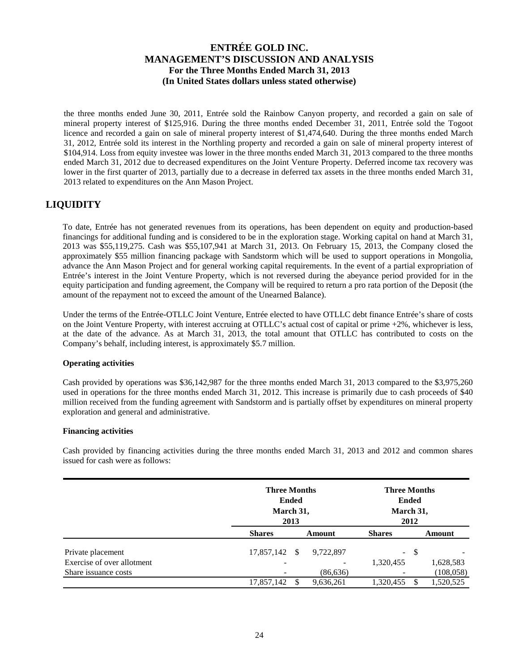the three months ended June 30, 2011, Entrée sold the Rainbow Canyon property, and recorded a gain on sale of mineral property interest of \$125,916. During the three months ended December 31, 2011, Entrée sold the Togoot licence and recorded a gain on sale of mineral property interest of \$1,474,640. During the three months ended March 31, 2012, Entrée sold its interest in the Northling property and recorded a gain on sale of mineral property interest of \$104,914. Loss from equity investee was lower in the three months ended March 31, 2013 compared to the three months ended March 31, 2012 due to decreased expenditures on the Joint Venture Property. Deferred income tax recovery was lower in the first quarter of 2013, partially due to a decrease in deferred tax assets in the three months ended March 31, 2013 related to expenditures on the Ann Mason Project.

# **LIQUIDITY**

To date, Entrée has not generated revenues from its operations, has been dependent on equity and production-based financings for additional funding and is considered to be in the exploration stage. Working capital on hand at March 31, 2013 was \$55,119,275. Cash was \$55,107,941 at March 31, 2013. On February 15, 2013, the Company closed the approximately \$55 million financing package with Sandstorm which will be used to support operations in Mongolia, advance the Ann Mason Project and for general working capital requirements. In the event of a partial expropriation of Entrée's interest in the Joint Venture Property, which is not reversed during the abeyance period provided for in the equity participation and funding agreement, the Company will be required to return a pro rata portion of the Deposit (the amount of the repayment not to exceed the amount of the Unearned Balance).

Under the terms of the Entrée-OTLLC Joint Venture, Entrée elected to have OTLLC debt finance Entrée's share of costs on the Joint Venture Property, with interest accruing at OTLLC's actual cost of capital or prime +2%, whichever is less, at the date of the advance. As at March 31, 2013, the total amount that OTLLC has contributed to costs on the Company's behalf, including interest, is approximately \$5.7 million.

### **Operating activities**

Cash provided by operations was \$36,142,987 for the three months ended March 31, 2013 compared to the \$3,975,260 used in operations for the three months ended March 31, 2012. This increase is primarily due to cash proceeds of \$40 million received from the funding agreement with Sandstorm and is partially offset by expenditures on mineral property exploration and general and administrative.

### **Financing activities**

Cash provided by financing activities during the three months ended March 31, 2013 and 2012 and common shares issued for cash were as follows:

|                            |               | <b>Three Months</b><br><b>Ended</b><br>March 31,<br>2013 |           |               | <b>Three Months</b><br><b>Ended</b><br>March 31,<br>2012 |            |  |
|----------------------------|---------------|----------------------------------------------------------|-----------|---------------|----------------------------------------------------------|------------|--|
|                            | <b>Shares</b> |                                                          | Amount    | <b>Shares</b> |                                                          | Amount     |  |
| Private placement          | 17,857,142 \$ |                                                          | 9,722,897 | $\sim$ $-$    | - \$                                                     |            |  |
| Exercise of over allotment |               |                                                          |           | 1,320,455     |                                                          | 1,628,583  |  |
| Share issuance costs       |               |                                                          | (86, 636) | -             |                                                          | (108, 058) |  |
|                            | 17,857,142    |                                                          | 9,636,261 | 1,320,455     |                                                          | 1,520,525  |  |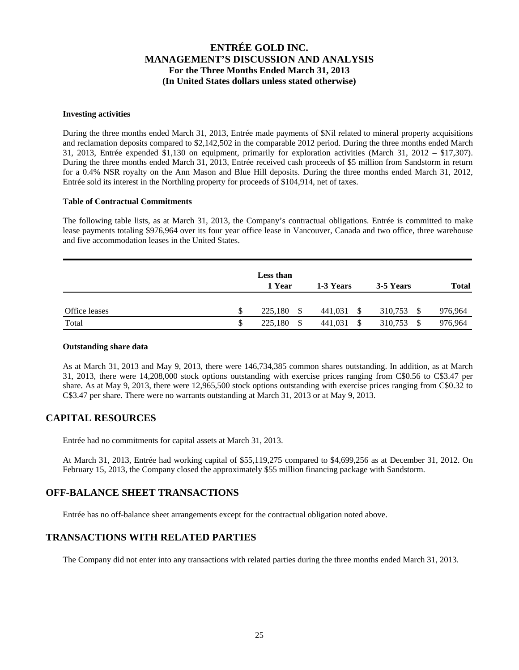#### **Investing activities**

During the three months ended March 31, 2013, Entrée made payments of \$Nil related to mineral property acquisitions and reclamation deposits compared to \$2,142,502 in the comparable 2012 period. During the three months ended March 31, 2013, Entrée expended \$1,130 on equipment, primarily for exploration activities (March 31, 2012 – \$17,307). During the three months ended March 31, 2013, Entrée received cash proceeds of \$5 million from Sandstorm in return for a 0.4% NSR royalty on the Ann Mason and Blue Hill deposits. During the three months ended March 31, 2012, Entrée sold its interest in the Northling property for proceeds of \$104,914, net of taxes.

### **Table of Contractual Commitments**

The following table lists, as at March 31, 2013, the Company's contractual obligations. Entrée is committed to make lease payments totaling \$976,964 over its four year office lease in Vancouver, Canada and two office, three warehouse and five accommodation leases in the United States.

|               | <b>Less than</b><br>1 Year     | 1-3 Years     | 3-5 Years | <b>Total</b> |
|---------------|--------------------------------|---------------|-----------|--------------|
| Office leases | \$<br>225,180<br>S             | 441,031<br>\$ | 310,753   | 976,964      |
| Total         | \$<br>225,180<br><sup>\$</sup> | 441,031<br>\$ | 310,753   | 976,964      |

#### **Outstanding share data**

As at March 31, 2013 and May 9, 2013, there were 146,734,385 common shares outstanding. In addition, as at March 31, 2013, there were 14,208,000 stock options outstanding with exercise prices ranging from C\$0.56 to C\$3.47 per share. As at May 9, 2013, there were 12,965,500 stock options outstanding with exercise prices ranging from C\$0.32 to C\$3.47 per share. There were no warrants outstanding at March 31, 2013 or at May 9, 2013.

# **CAPITAL RESOURCES**

Entrée had no commitments for capital assets at March 31, 2013.

At March 31, 2013, Entrée had working capital of \$55,119,275 compared to \$4,699,256 as at December 31, 2012. On February 15, 2013, the Company closed the approximately \$55 million financing package with Sandstorm.

### **OFF-BALANCE SHEET TRANSACTIONS**

Entrée has no off-balance sheet arrangements except for the contractual obligation noted above.

# **TRANSACTIONS WITH RELATED PARTIES**

The Company did not enter into any transactions with related parties during the three months ended March 31, 2013.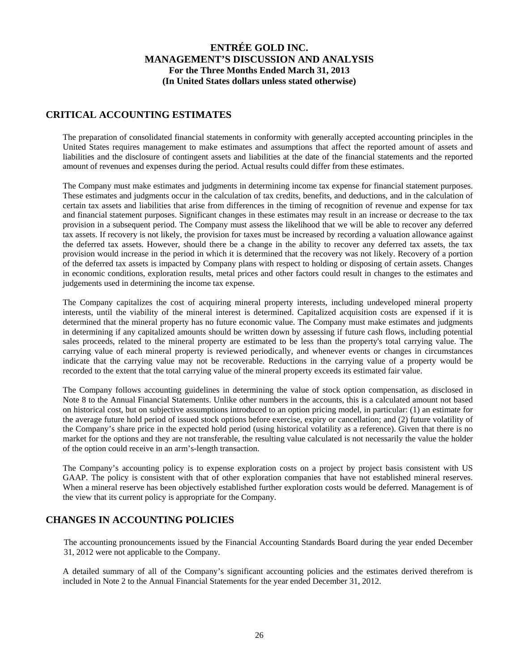### **CRITICAL ACCOUNTING ESTIMATES**

The preparation of consolidated financial statements in conformity with generally accepted accounting principles in the United States requires management to make estimates and assumptions that affect the reported amount of assets and liabilities and the disclosure of contingent assets and liabilities at the date of the financial statements and the reported amount of revenues and expenses during the period. Actual results could differ from these estimates.

The Company must make estimates and judgments in determining income tax expense for financial statement purposes. These estimates and judgments occur in the calculation of tax credits, benefits, and deductions, and in the calculation of certain tax assets and liabilities that arise from differences in the timing of recognition of revenue and expense for tax and financial statement purposes. Significant changes in these estimates may result in an increase or decrease to the tax provision in a subsequent period. The Company must assess the likelihood that we will be able to recover any deferred tax assets. If recovery is not likely, the provision for taxes must be increased by recording a valuation allowance against the deferred tax assets. However, should there be a change in the ability to recover any deferred tax assets, the tax provision would increase in the period in which it is determined that the recovery was not likely. Recovery of a portion of the deferred tax assets is impacted by Company plans with respect to holding or disposing of certain assets. Changes in economic conditions, exploration results, metal prices and other factors could result in changes to the estimates and judgements used in determining the income tax expense.

The Company capitalizes the cost of acquiring mineral property interests, including undeveloped mineral property interests, until the viability of the mineral interest is determined. Capitalized acquisition costs are expensed if it is determined that the mineral property has no future economic value. The Company must make estimates and judgments in determining if any capitalized amounts should be written down by assessing if future cash flows, including potential sales proceeds, related to the mineral property are estimated to be less than the property's total carrying value. The carrying value of each mineral property is reviewed periodically, and whenever events or changes in circumstances indicate that the carrying value may not be recoverable. Reductions in the carrying value of a property would be recorded to the extent that the total carrying value of the mineral property exceeds its estimated fair value.

The Company follows accounting guidelines in determining the value of stock option compensation, as disclosed in Note 8 to the Annual Financial Statements. Unlike other numbers in the accounts, this is a calculated amount not based on historical cost, but on subjective assumptions introduced to an option pricing model, in particular: (1) an estimate for the average future hold period of issued stock options before exercise, expiry or cancellation; and (2) future volatility of the Company's share price in the expected hold period (using historical volatility as a reference). Given that there is no market for the options and they are not transferable, the resulting value calculated is not necessarily the value the holder of the option could receive in an arm's-length transaction.

The Company's accounting policy is to expense exploration costs on a project by project basis consistent with US GAAP. The policy is consistent with that of other exploration companies that have not established mineral reserves. When a mineral reserve has been objectively established further exploration costs would be deferred. Management is of the view that its current policy is appropriate for the Company.

# **CHANGES IN ACCOUNTING POLICIES**

The accounting pronouncements issued by the Financial Accounting Standards Board during the year ended December 31, 2012 were not applicable to the Company.

A detailed summary of all of the Company's significant accounting policies and the estimates derived therefrom is included in Note 2 to the Annual Financial Statements for the year ended December 31, 2012.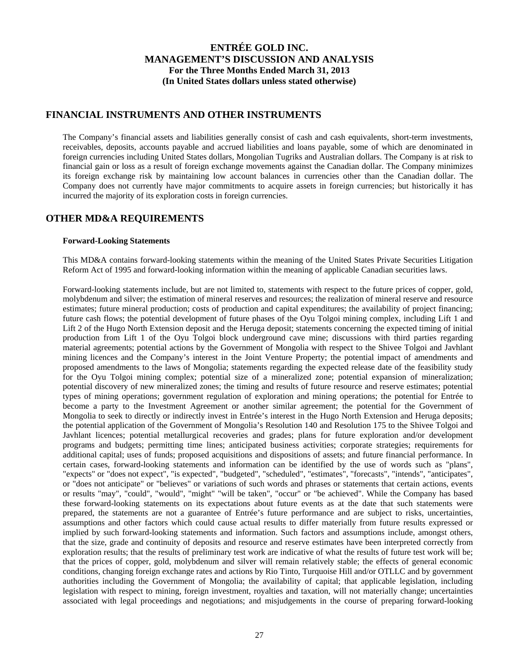### **FINANCIAL INSTRUMENTS AND OTHER INSTRUMENTS**

The Company's financial assets and liabilities generally consist of cash and cash equivalents, short-term investments, receivables, deposits, accounts payable and accrued liabilities and loans payable, some of which are denominated in foreign currencies including United States dollars, Mongolian Tugriks and Australian dollars. The Company is at risk to financial gain or loss as a result of foreign exchange movements against the Canadian dollar. The Company minimizes its foreign exchange risk by maintaining low account balances in currencies other than the Canadian dollar. The Company does not currently have major commitments to acquire assets in foreign currencies; but historically it has incurred the majority of its exploration costs in foreign currencies.

### **OTHER MD&A REQUIREMENTS**

### **Forward-Looking Statements**

This MD&A contains forward-looking statements within the meaning of the United States Private Securities Litigation Reform Act of 1995 and forward-looking information within the meaning of applicable Canadian securities laws.

Forward-looking statements include, but are not limited to, statements with respect to the future prices of copper, gold, molybdenum and silver; the estimation of mineral reserves and resources; the realization of mineral reserve and resource estimates; future mineral production; costs of production and capital expenditures; the availability of project financing; future cash flows; the potential development of future phases of the Oyu Tolgoi mining complex, including Lift 1 and Lift 2 of the Hugo North Extension deposit and the Heruga deposit; statements concerning the expected timing of initial production from Lift 1 of the Oyu Tolgoi block underground cave mine; discussions with third parties regarding material agreements; potential actions by the Government of Mongolia with respect to the Shivee Tolgoi and Javhlant mining licences and the Company's interest in the Joint Venture Property; the potential impact of amendments and proposed amendments to the laws of Mongolia; statements regarding the expected release date of the feasibility study for the Oyu Tolgoi mining complex; potential size of a mineralized zone; potential expansion of mineralization; potential discovery of new mineralized zones; the timing and results of future resource and reserve estimates; potential types of mining operations; government regulation of exploration and mining operations; the potential for Entrée to become a party to the Investment Agreement or another similar agreement; the potential for the Government of Mongolia to seek to directly or indirectly invest in Entrée's interest in the Hugo North Extension and Heruga deposits; the potential application of the Government of Mongolia's Resolution 140 and Resolution 175 to the Shivee Tolgoi and Javhlant licences; potential metallurgical recoveries and grades; plans for future exploration and/or development programs and budgets; permitting time lines; anticipated business activities; corporate strategies; requirements for additional capital; uses of funds; proposed acquisitions and dispositions of assets; and future financial performance. In certain cases, forward-looking statements and information can be identified by the use of words such as "plans", "expects" or "does not expect", "is expected", "budgeted", "scheduled", "estimates", "forecasts", "intends", "anticipates", or "does not anticipate" or "believes" or variations of such words and phrases or statements that certain actions, events or results "may", "could", "would", "might" "will be taken", "occur" or "be achieved". While the Company has based these forward-looking statements on its expectations about future events as at the date that such statements were prepared, the statements are not a guarantee of Entrée's future performance and are subject to risks, uncertainties, assumptions and other factors which could cause actual results to differ materially from future results expressed or implied by such forward-looking statements and information. Such factors and assumptions include, amongst others, that the size, grade and continuity of deposits and resource and reserve estimates have been interpreted correctly from exploration results; that the results of preliminary test work are indicative of what the results of future test work will be; that the prices of copper, gold, molybdenum and silver will remain relatively stable; the effects of general economic conditions, changing foreign exchange rates and actions by Rio Tinto, Turquoise Hill and/or OTLLC and by government authorities including the Government of Mongolia; the availability of capital; that applicable legislation, including legislation with respect to mining, foreign investment, royalties and taxation, will not materially change; uncertainties associated with legal proceedings and negotiations; and misjudgements in the course of preparing forward-looking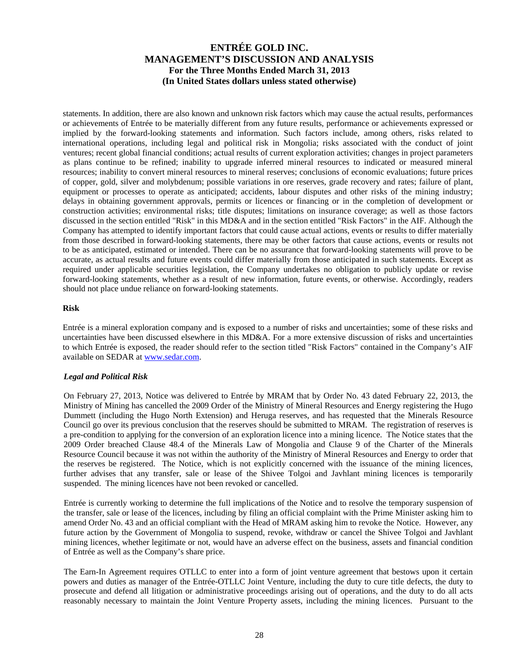statements. In addition, there are also known and unknown risk factors which may cause the actual results, performances or achievements of Entrée to be materially different from any future results, performance or achievements expressed or implied by the forward-looking statements and information. Such factors include, among others, risks related to international operations, including legal and political risk in Mongolia; risks associated with the conduct of joint ventures; recent global financial conditions; actual results of current exploration activities; changes in project parameters as plans continue to be refined; inability to upgrade inferred mineral resources to indicated or measured mineral resources; inability to convert mineral resources to mineral reserves; conclusions of economic evaluations; future prices of copper, gold, silver and molybdenum; possible variations in ore reserves, grade recovery and rates; failure of plant, equipment or processes to operate as anticipated; accidents, labour disputes and other risks of the mining industry; delays in obtaining government approvals, permits or licences or financing or in the completion of development or construction activities; environmental risks; title disputes; limitations on insurance coverage; as well as those factors discussed in the section entitled "Risk" in this MD&A and in the section entitled "Risk Factors" in the AIF. Although the Company has attempted to identify important factors that could cause actual actions, events or results to differ materially from those described in forward-looking statements, there may be other factors that cause actions, events or results not to be as anticipated, estimated or intended. There can be no assurance that forward-looking statements will prove to be accurate, as actual results and future events could differ materially from those anticipated in such statements. Except as required under applicable securities legislation, the Company undertakes no obligation to publicly update or revise forward-looking statements, whether as a result of new information, future events, or otherwise. Accordingly, readers should not place undue reliance on forward-looking statements.

### **Risk**

Entrée is a mineral exploration company and is exposed to a number of risks and uncertainties; some of these risks and uncertainties have been discussed elsewhere in this MD&A. For a more extensive discussion of risks and uncertainties to which Entrée is exposed, the reader should refer to the section titled "Risk Factors" contained in the Company's AIF available on SEDAR at www.sedar.com.

### *Legal and Political Risk*

On February 27, 2013, Notice was delivered to Entrée by MRAM that by Order No. 43 dated February 22, 2013, the Ministry of Mining has cancelled the 2009 Order of the Ministry of Mineral Resources and Energy registering the Hugo Dummett (including the Hugo North Extension) and Heruga reserves, and has requested that the Minerals Resource Council go over its previous conclusion that the reserves should be submitted to MRAM. The registration of reserves is a pre-condition to applying for the conversion of an exploration licence into a mining licence. The Notice states that the 2009 Order breached Clause 48.4 of the Minerals Law of Mongolia and Clause 9 of the Charter of the Minerals Resource Council because it was not within the authority of the Ministry of Mineral Resources and Energy to order that the reserves be registered. The Notice, which is not explicitly concerned with the issuance of the mining licences, further advises that any transfer, sale or lease of the Shivee Tolgoi and Javhlant mining licences is temporarily suspended. The mining licences have not been revoked or cancelled.

Entrée is currently working to determine the full implications of the Notice and to resolve the temporary suspension of the transfer, sale or lease of the licences, including by filing an official complaint with the Prime Minister asking him to amend Order No. 43 and an official compliant with the Head of MRAM asking him to revoke the Notice. However, any future action by the Government of Mongolia to suspend, revoke, withdraw or cancel the Shivee Tolgoi and Javhlant mining licences, whether legitimate or not, would have an adverse effect on the business, assets and financial condition of Entrée as well as the Company's share price.

The Earn-In Agreement requires OTLLC to enter into a form of joint venture agreement that bestows upon it certain powers and duties as manager of the Entrée-OTLLC Joint Venture, including the duty to cure title defects, the duty to prosecute and defend all litigation or administrative proceedings arising out of operations, and the duty to do all acts reasonably necessary to maintain the Joint Venture Property assets, including the mining licences. Pursuant to the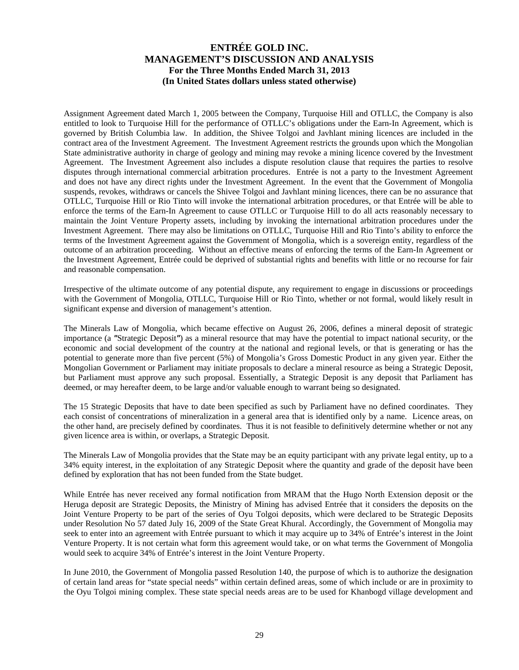Assignment Agreement dated March 1, 2005 between the Company, Turquoise Hill and OTLLC, the Company is also entitled to look to Turquoise Hill for the performance of OTLLC's obligations under the Earn-In Agreement, which is governed by British Columbia law. In addition, the Shivee Tolgoi and Javhlant mining licences are included in the contract area of the Investment Agreement. The Investment Agreement restricts the grounds upon which the Mongolian State administrative authority in charge of geology and mining may revoke a mining licence covered by the Investment Agreement. The Investment Agreement also includes a dispute resolution clause that requires the parties to resolve disputes through international commercial arbitration procedures. Entrée is not a party to the Investment Agreement and does not have any direct rights under the Investment Agreement. In the event that the Government of Mongolia suspends, revokes, withdraws or cancels the Shivee Tolgoi and Javhlant mining licences, there can be no assurance that OTLLC, Turquoise Hill or Rio Tinto will invoke the international arbitration procedures, or that Entrée will be able to enforce the terms of the Earn-In Agreement to cause OTLLC or Turquoise Hill to do all acts reasonably necessary to maintain the Joint Venture Property assets, including by invoking the international arbitration procedures under the Investment Agreement. There may also be limitations on OTLLC, Turquoise Hill and Rio Tinto's ability to enforce the terms of the Investment Agreement against the Government of Mongolia, which is a sovereign entity, regardless of the outcome of an arbitration proceeding. Without an effective means of enforcing the terms of the Earn-In Agreement or the Investment Agreement, Entrée could be deprived of substantial rights and benefits with little or no recourse for fair and reasonable compensation.

Irrespective of the ultimate outcome of any potential dispute, any requirement to engage in discussions or proceedings with the Government of Mongolia, OTLLC, Turquoise Hill or Rio Tinto, whether or not formal, would likely result in significant expense and diversion of management's attention.

The Minerals Law of Mongolia, which became effective on August 26, 2006, defines a mineral deposit of strategic importance (a *"*Strategic Deposit*"*) as a mineral resource that may have the potential to impact national security, or the economic and social development of the country at the national and regional levels, or that is generating or has the potential to generate more than five percent (5%) of Mongolia's Gross Domestic Product in any given year. Either the Mongolian Government or Parliament may initiate proposals to declare a mineral resource as being a Strategic Deposit, but Parliament must approve any such proposal. Essentially, a Strategic Deposit is any deposit that Parliament has deemed, or may hereafter deem, to be large and/or valuable enough to warrant being so designated.

The 15 Strategic Deposits that have to date been specified as such by Parliament have no defined coordinates. They each consist of concentrations of mineralization in a general area that is identified only by a name. Licence areas, on the other hand, are precisely defined by coordinates. Thus it is not feasible to definitively determine whether or not any given licence area is within, or overlaps, a Strategic Deposit.

The Minerals Law of Mongolia provides that the State may be an equity participant with any private legal entity, up to a 34% equity interest, in the exploitation of any Strategic Deposit where the quantity and grade of the deposit have been defined by exploration that has not been funded from the State budget.

While Entrée has never received any formal notification from MRAM that the Hugo North Extension deposit or the Heruga deposit are Strategic Deposits, the Ministry of Mining has advised Entrée that it considers the deposits on the Joint Venture Property to be part of the series of Oyu Tolgoi deposits, which were declared to be Strategic Deposits under Resolution No 57 dated July 16, 2009 of the State Great Khural. Accordingly, the Government of Mongolia may seek to enter into an agreement with Entrée pursuant to which it may acquire up to 34% of Entrée's interest in the Joint Venture Property. It is not certain what form this agreement would take, or on what terms the Government of Mongolia would seek to acquire 34% of Entrée's interest in the Joint Venture Property.

In June 2010, the Government of Mongolia passed Resolution 140, the purpose of which is to authorize the designation of certain land areas for "state special needs" within certain defined areas, some of which include or are in proximity to the Oyu Tolgoi mining complex. These state special needs areas are to be used for Khanbogd village development and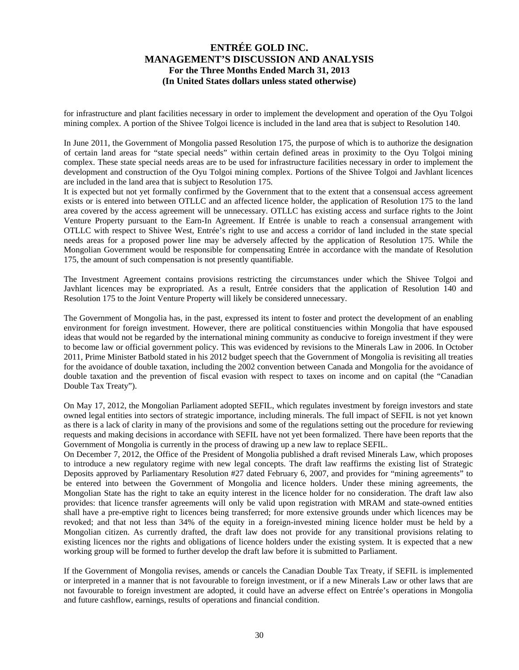for infrastructure and plant facilities necessary in order to implement the development and operation of the Oyu Tolgoi mining complex. A portion of the Shivee Tolgoi licence is included in the land area that is subject to Resolution 140.

In June 2011, the Government of Mongolia passed Resolution 175, the purpose of which is to authorize the designation of certain land areas for "state special needs" within certain defined areas in proximity to the Oyu Tolgoi mining complex. These state special needs areas are to be used for infrastructure facilities necessary in order to implement the development and construction of the Oyu Tolgoi mining complex. Portions of the Shivee Tolgoi and Javhlant licences are included in the land area that is subject to Resolution 175.

It is expected but not yet formally confirmed by the Government that to the extent that a consensual access agreement exists or is entered into between OTLLC and an affected licence holder, the application of Resolution 175 to the land area covered by the access agreement will be unnecessary. OTLLC has existing access and surface rights to the Joint Venture Property pursuant to the Earn-In Agreement. If Entrée is unable to reach a consensual arrangement with OTLLC with respect to Shivee West, Entrée's right to use and access a corridor of land included in the state special needs areas for a proposed power line may be adversely affected by the application of Resolution 175. While the Mongolian Government would be responsible for compensating Entrée in accordance with the mandate of Resolution 175, the amount of such compensation is not presently quantifiable.

The Investment Agreement contains provisions restricting the circumstances under which the Shivee Tolgoi and Javhlant licences may be expropriated. As a result, Entrée considers that the application of Resolution 140 and Resolution 175 to the Joint Venture Property will likely be considered unnecessary.

The Government of Mongolia has, in the past, expressed its intent to foster and protect the development of an enabling environment for foreign investment. However, there are political constituencies within Mongolia that have espoused ideas that would not be regarded by the international mining community as conducive to foreign investment if they were to become law or official government policy. This was evidenced by revisions to the Minerals Law in 2006. In October 2011, Prime Minister Batbold stated in his 2012 budget speech that the Government of Mongolia is revisiting all treaties for the avoidance of double taxation, including the 2002 convention between Canada and Mongolia for the avoidance of double taxation and the prevention of fiscal evasion with respect to taxes on income and on capital (the "Canadian Double Tax Treaty").

On May 17, 2012, the Mongolian Parliament adopted SEFIL, which regulates investment by foreign investors and state owned legal entities into sectors of strategic importance, including minerals. The full impact of SEFIL is not yet known as there is a lack of clarity in many of the provisions and some of the regulations setting out the procedure for reviewing requests and making decisions in accordance with SEFIL have not yet been formalized. There have been reports that the Government of Mongolia is currently in the process of drawing up a new law to replace SEFIL.

On December 7, 2012, the Office of the President of Mongolia published a draft revised Minerals Law, which proposes to introduce a new regulatory regime with new legal concepts. The draft law reaffirms the existing list of Strategic Deposits approved by Parliamentary Resolution #27 dated February 6, 2007, and provides for "mining agreements" to be entered into between the Government of Mongolia and licence holders. Under these mining agreements, the Mongolian State has the right to take an equity interest in the licence holder for no consideration. The draft law also provides: that licence transfer agreements will only be valid upon registration with MRAM and state-owned entities shall have a pre-emptive right to licences being transferred; for more extensive grounds under which licences may be revoked; and that not less than 34% of the equity in a foreign-invested mining licence holder must be held by a Mongolian citizen. As currently drafted, the draft law does not provide for any transitional provisions relating to existing licences nor the rights and obligations of licence holders under the existing system. It is expected that a new working group will be formed to further develop the draft law before it is submitted to Parliament.

If the Government of Mongolia revises, amends or cancels the Canadian Double Tax Treaty, if SEFIL is implemented or interpreted in a manner that is not favourable to foreign investment, or if a new Minerals Law or other laws that are not favourable to foreign investment are adopted, it could have an adverse effect on Entrée's operations in Mongolia and future cashflow, earnings, results of operations and financial condition.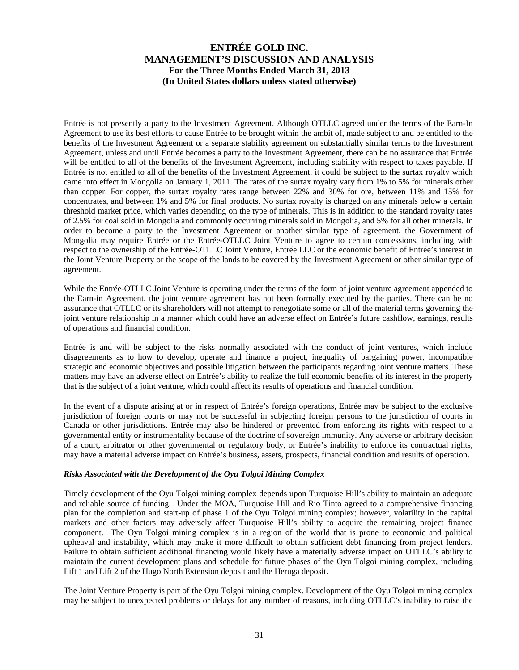Entrée is not presently a party to the Investment Agreement. Although OTLLC agreed under the terms of the Earn-In Agreement to use its best efforts to cause Entrée to be brought within the ambit of, made subject to and be entitled to the benefits of the Investment Agreement or a separate stability agreement on substantially similar terms to the Investment Agreement, unless and until Entrée becomes a party to the Investment Agreement, there can be no assurance that Entrée will be entitled to all of the benefits of the Investment Agreement, including stability with respect to taxes payable. If Entrée is not entitled to all of the benefits of the Investment Agreement, it could be subject to the surtax royalty which came into effect in Mongolia on January 1, 2011. The rates of the surtax royalty vary from 1% to 5% for minerals other than copper. For copper, the surtax royalty rates range between 22% and 30% for ore, between 11% and 15% for concentrates, and between 1% and 5% for final products. No surtax royalty is charged on any minerals below a certain threshold market price, which varies depending on the type of minerals. This is in addition to the standard royalty rates of 2.5% for coal sold in Mongolia and commonly occurring minerals sold in Mongolia, and 5% for all other minerals. In order to become a party to the Investment Agreement or another similar type of agreement, the Government of Mongolia may require Entrée or the Entrée-OTLLC Joint Venture to agree to certain concessions, including with respect to the ownership of the Entrée-OTLLC Joint Venture, Entrée LLC or the economic benefit of Entrée's interest in the Joint Venture Property or the scope of the lands to be covered by the Investment Agreement or other similar type of agreement.

While the Entrée-OTLLC Joint Venture is operating under the terms of the form of joint venture agreement appended to the Earn-in Agreement, the joint venture agreement has not been formally executed by the parties. There can be no assurance that OTLLC or its shareholders will not attempt to renegotiate some or all of the material terms governing the joint venture relationship in a manner which could have an adverse effect on Entrée's future cashflow, earnings, results of operations and financial condition.

Entrée is and will be subject to the risks normally associated with the conduct of joint ventures, which include disagreements as to how to develop, operate and finance a project, inequality of bargaining power, incompatible strategic and economic objectives and possible litigation between the participants regarding joint venture matters. These matters may have an adverse effect on Entrée's ability to realize the full economic benefits of its interest in the property that is the subject of a joint venture, which could affect its results of operations and financial condition.

In the event of a dispute arising at or in respect of Entrée's foreign operations, Entrée may be subject to the exclusive jurisdiction of foreign courts or may not be successful in subjecting foreign persons to the jurisdiction of courts in Canada or other jurisdictions. Entrée may also be hindered or prevented from enforcing its rights with respect to a governmental entity or instrumentality because of the doctrine of sovereign immunity. Any adverse or arbitrary decision of a court, arbitrator or other governmental or regulatory body, or Entrée's inability to enforce its contractual rights, may have a material adverse impact on Entrée's business, assets, prospects, financial condition and results of operation.

### *Risks Associated with the Development of the Oyu Tolgoi Mining Complex*

Timely development of the Oyu Tolgoi mining complex depends upon Turquoise Hill's ability to maintain an adequate and reliable source of funding. Under the MOA, Turquoise Hill and Rio Tinto agreed to a comprehensive financing plan for the completion and start-up of phase 1 of the Oyu Tolgoi mining complex; however, volatility in the capital markets and other factors may adversely affect Turquoise Hill's ability to acquire the remaining project finance component. The Oyu Tolgoi mining complex is in a region of the world that is prone to economic and political upheaval and instability, which may make it more difficult to obtain sufficient debt financing from project lenders. Failure to obtain sufficient additional financing would likely have a materially adverse impact on OTLLC's ability to maintain the current development plans and schedule for future phases of the Oyu Tolgoi mining complex, including Lift 1 and Lift 2 of the Hugo North Extension deposit and the Heruga deposit.

The Joint Venture Property is part of the Oyu Tolgoi mining complex. Development of the Oyu Tolgoi mining complex may be subject to unexpected problems or delays for any number of reasons, including OTLLC's inability to raise the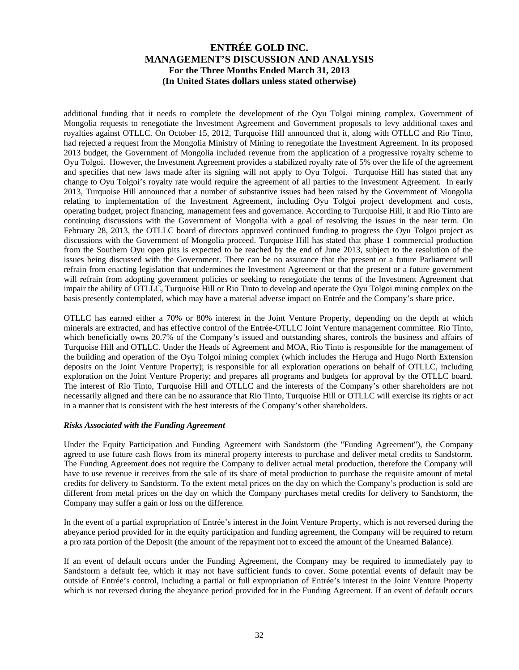additional funding that it needs to complete the development of the Oyu Tolgoi mining complex, Government of Mongolia requests to renegotiate the Investment Agreement and Government proposals to levy additional taxes and royalties against OTLLC. On October 15, 2012, Turquoise Hill announced that it, along with OTLLC and Rio Tinto, had rejected a request from the Mongolia Ministry of Mining to renegotiate the Investment Agreement. In its proposed 2013 budget, the Government of Mongolia included revenue from the application of a progressive royalty scheme to Oyu Tolgoi. However, the Investment Agreement provides a stabilized royalty rate of 5% over the life of the agreement and specifies that new laws made after its signing will not apply to Oyu Tolgoi. Turquoise Hill has stated that any change to Oyu Tolgoi's royalty rate would require the agreement of all parties to the Investment Agreement. In early 2013, Turquoise Hill announced that a number of substantive issues had been raised by the Government of Mongolia relating to implementation of the Investment Agreement, including Oyu Tolgoi project development and costs, operating budget, project financing, management fees and governance. According to Turquoise Hill, it and Rio Tinto are continuing discussions with the Government of Mongolia with a goal of resolving the issues in the near term. On February 28, 2013, the OTLLC board of directors approved continued funding to progress the Oyu Tolgoi project as discussions with the Government of Mongolia proceed. Turquoise Hill has stated that phase 1 commercial production from the Southern Oyu open pits is expected to be reached by the end of June 2013, subject to the resolution of the issues being discussed with the Government. There can be no assurance that the present or a future Parliament will refrain from enacting legislation that undermines the Investment Agreement or that the present or a future government will refrain from adopting government policies or seeking to renegotiate the terms of the Investment Agreement that impair the ability of OTLLC, Turquoise Hill or Rio Tinto to develop and operate the Oyu Tolgoi mining complex on the basis presently contemplated, which may have a material adverse impact on Entrée and the Company's share price.

OTLLC has earned either a 70% or 80% interest in the Joint Venture Property, depending on the depth at which minerals are extracted, and has effective control of the Entrée-OTLLC Joint Venture management committee. Rio Tinto, which beneficially owns 20.7% of the Company's issued and outstanding shares, controls the business and affairs of Turquoise Hill and OTLLC. Under the Heads of Agreement and MOA, Rio Tinto is responsible for the management of the building and operation of the Oyu Tolgoi mining complex (which includes the Heruga and Hugo North Extension deposits on the Joint Venture Property); is responsible for all exploration operations on behalf of OTLLC, including exploration on the Joint Venture Property; and prepares all programs and budgets for approval by the OTLLC board. The interest of Rio Tinto, Turquoise Hill and OTLLC and the interests of the Company's other shareholders are not necessarily aligned and there can be no assurance that Rio Tinto, Turquoise Hill or OTLLC will exercise its rights or act in a manner that is consistent with the best interests of the Company's other shareholders.

#### *Risks Associated with the Funding Agreement*

Under the Equity Participation and Funding Agreement with Sandstorm (the "Funding Agreement"), the Company agreed to use future cash flows from its mineral property interests to purchase and deliver metal credits to Sandstorm. The Funding Agreement does not require the Company to deliver actual metal production, therefore the Company will have to use revenue it receives from the sale of its share of metal production to purchase the requisite amount of metal credits for delivery to Sandstorm. To the extent metal prices on the day on which the Company's production is sold are different from metal prices on the day on which the Company purchases metal credits for delivery to Sandstorm, the Company may suffer a gain or loss on the difference.

In the event of a partial expropriation of Entrée's interest in the Joint Venture Property, which is not reversed during the abeyance period provided for in the equity participation and funding agreement, the Company will be required to return a pro rata portion of the Deposit (the amount of the repayment not to exceed the amount of the Unearned Balance).

If an event of default occurs under the Funding Agreement, the Company may be required to immediately pay to Sandstorm a default fee, which it may not have sufficient funds to cover. Some potential events of default may be outside of Entrée's control, including a partial or full expropriation of Entrée's interest in the Joint Venture Property which is not reversed during the abeyance period provided for in the Funding Agreement. If an event of default occurs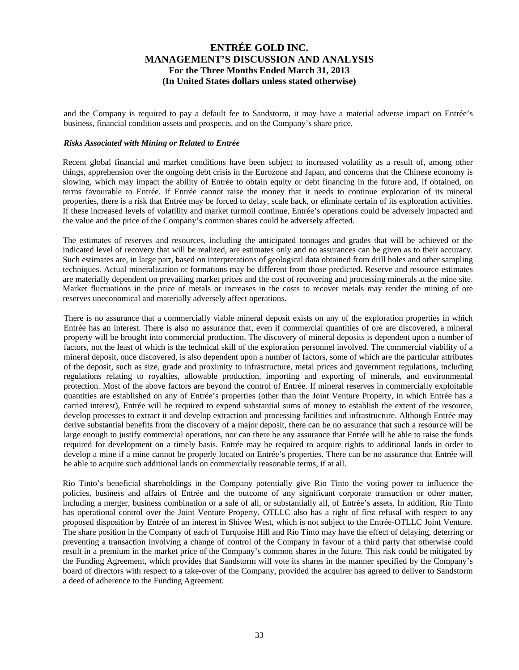and the Company is required to pay a default fee to Sandstorm, it may have a material adverse impact on Entrée's business, financial condition assets and prospects, and on the Company's share price.

#### *Risks Associated with Mining or Related to Entrée*

Recent global financial and market conditions have been subject to increased volatility as a result of, among other things, apprehension over the ongoing debt crisis in the Eurozone and Japan, and concerns that the Chinese economy is slowing, which may impact the ability of Entrée to obtain equity or debt financing in the future and, if obtained, on terms favourable to Entrée. If Entrée cannot raise the money that it needs to continue exploration of its mineral properties, there is a risk that Entrée may be forced to delay, scale back, or eliminate certain of its exploration activities. If these increased levels of volatility and market turmoil continue, Entrée's operations could be adversely impacted and the value and the price of the Company's common shares could be adversely affected.

The estimates of reserves and resources, including the anticipated tonnages and grades that will be achieved or the indicated level of recovery that will be realized, are estimates only and no assurances can be given as to their accuracy. Such estimates are, in large part, based on interpretations of geological data obtained from drill holes and other sampling techniques. Actual mineralization or formations may be different from those predicted. Reserve and resource estimates are materially dependent on prevailing market prices and the cost of recovering and processing minerals at the mine site. Market fluctuations in the price of metals or increases in the costs to recover metals may render the mining of ore reserves uneconomical and materially adversely affect operations.

There is no assurance that a commercially viable mineral deposit exists on any of the exploration properties in which Entrée has an interest. There is also no assurance that, even if commercial quantities of ore are discovered, a mineral property will be brought into commercial production. The discovery of mineral deposits is dependent upon a number of factors, not the least of which is the technical skill of the exploration personnel involved. The commercial viability of a mineral deposit, once discovered, is also dependent upon a number of factors, some of which are the particular attributes of the deposit, such as size, grade and proximity to infrastructure, metal prices and government regulations, including regulations relating to royalties, allowable production, importing and exporting of minerals, and environmental protection. Most of the above factors are beyond the control of Entrée. If mineral reserves in commercially exploitable quantities are established on any of Entrée's properties (other than the Joint Venture Property, in which Entrée has a carried interest), Entrée will be required to expend substantial sums of money to establish the extent of the resource, develop processes to extract it and develop extraction and processing facilities and infrastructure. Although Entrée may derive substantial benefits from the discovery of a major deposit, there can be no assurance that such a resource will be large enough to justify commercial operations, nor can there be any assurance that Entrée will be able to raise the funds required for development on a timely basis. Entrée may be required to acquire rights to additional lands in order to develop a mine if a mine cannot be properly located on Entrée's properties. There can be no assurance that Entrée will be able to acquire such additional lands on commercially reasonable terms, if at all.

Rio Tinto's beneficial shareholdings in the Company potentially give Rio Tinto the voting power to influence the policies, business and affairs of Entrée and the outcome of any significant corporate transaction or other matter, including a merger, business combination or a sale of all, or substantially all, of Entrée's assets. In addition, Rio Tinto has operational control over the Joint Venture Property. OTLLC also has a right of first refusal with respect to any proposed disposition by Entrée of an interest in Shivee West, which is not subject to the Entrée-OTLLC Joint Venture. The share position in the Company of each of Turquoise Hill and Rio Tinto may have the effect of delaying, deterring or preventing a transaction involving a change of control of the Company in favour of a third party that otherwise could result in a premium in the market price of the Company's common shares in the future. This risk could be mitigated by the Funding Agreement, which provides that Sandstorm will vote its shares in the manner specified by the Company's board of directors with respect to a take-over of the Company, provided the acquirer has agreed to deliver to Sandstorm a deed of adherence to the Funding Agreement.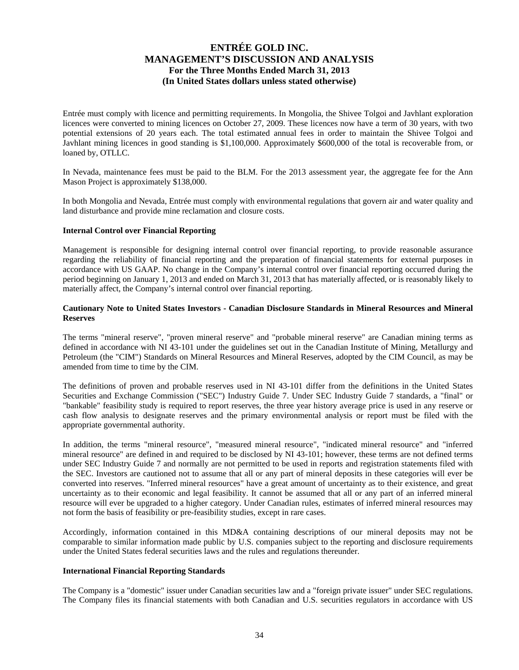Entrée must comply with licence and permitting requirements. In Mongolia, the Shivee Tolgoi and Javhlant exploration licences were converted to mining licences on October 27, 2009. These licences now have a term of 30 years, with two potential extensions of 20 years each. The total estimated annual fees in order to maintain the Shivee Tolgoi and Javhlant mining licences in good standing is \$1,100,000. Approximately \$600,000 of the total is recoverable from, or loaned by, OTLLC.

In Nevada, maintenance fees must be paid to the BLM. For the 2013 assessment year, the aggregate fee for the Ann Mason Project is approximately \$138,000.

In both Mongolia and Nevada, Entrée must comply with environmental regulations that govern air and water quality and land disturbance and provide mine reclamation and closure costs.

### **Internal Control over Financial Reporting**

Management is responsible for designing internal control over financial reporting, to provide reasonable assurance regarding the reliability of financial reporting and the preparation of financial statements for external purposes in accordance with US GAAP. No change in the Company's internal control over financial reporting occurred during the period beginning on January 1, 2013 and ended on March 31, 2013 that has materially affected, or is reasonably likely to materially affect, the Company's internal control over financial reporting.

### **Cautionary Note to United States Investors - Canadian Disclosure Standards in Mineral Resources and Mineral Reserves**

The terms "mineral reserve", "proven mineral reserve" and "probable mineral reserve" are Canadian mining terms as defined in accordance with NI 43-101 under the guidelines set out in the Canadian Institute of Mining, Metallurgy and Petroleum (the "CIM") Standards on Mineral Resources and Mineral Reserves, adopted by the CIM Council, as may be amended from time to time by the CIM.

The definitions of proven and probable reserves used in NI 43-101 differ from the definitions in the United States Securities and Exchange Commission ("SEC") Industry Guide 7. Under SEC Industry Guide 7 standards, a "final" or "bankable" feasibility study is required to report reserves, the three year history average price is used in any reserve or cash flow analysis to designate reserves and the primary environmental analysis or report must be filed with the appropriate governmental authority.

In addition, the terms "mineral resource", "measured mineral resource", "indicated mineral resource" and "inferred mineral resource" are defined in and required to be disclosed by NI 43-101; however, these terms are not defined terms under SEC Industry Guide 7 and normally are not permitted to be used in reports and registration statements filed with the SEC. Investors are cautioned not to assume that all or any part of mineral deposits in these categories will ever be converted into reserves. "Inferred mineral resources" have a great amount of uncertainty as to their existence, and great uncertainty as to their economic and legal feasibility. It cannot be assumed that all or any part of an inferred mineral resource will ever be upgraded to a higher category. Under Canadian rules, estimates of inferred mineral resources may not form the basis of feasibility or pre-feasibility studies, except in rare cases.

Accordingly, information contained in this MD&A containing descriptions of our mineral deposits may not be comparable to similar information made public by U.S. companies subject to the reporting and disclosure requirements under the United States federal securities laws and the rules and regulations thereunder.

#### **International Financial Reporting Standards**

The Company is a "domestic" issuer under Canadian securities law and a "foreign private issuer" under SEC regulations. The Company files its financial statements with both Canadian and U.S. securities regulators in accordance with US